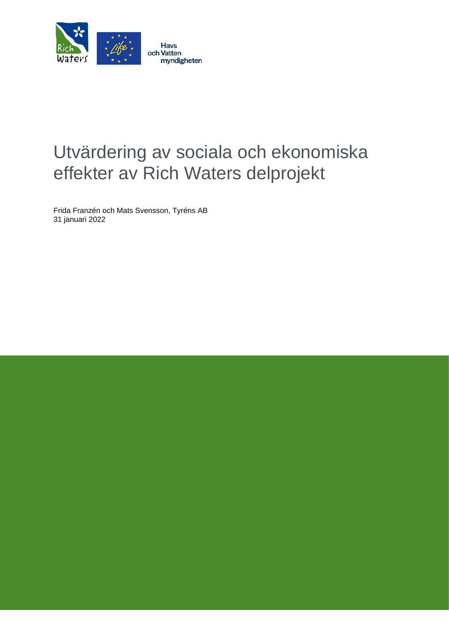

# Utvärdering av sociala och ekonomiska effekter av Rich Waters delprojekt

Frida Franzén och Mats Svensson, Tyréns AB 31 januari 2022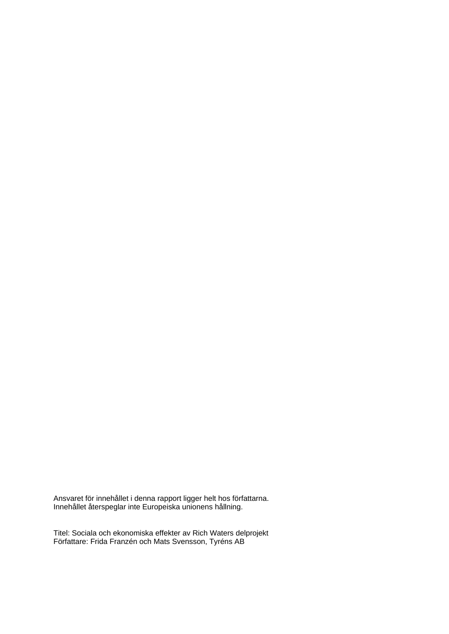Ansvaret för innehållet i denna rapport ligger helt hos författarna. Innehållet återspeglar inte Europeiska unionens hållning.

Titel: Sociala och ekonomiska effekter av Rich Waters delprojekt Författare: Frida Franzén och Mats Svensson, Tyréns AB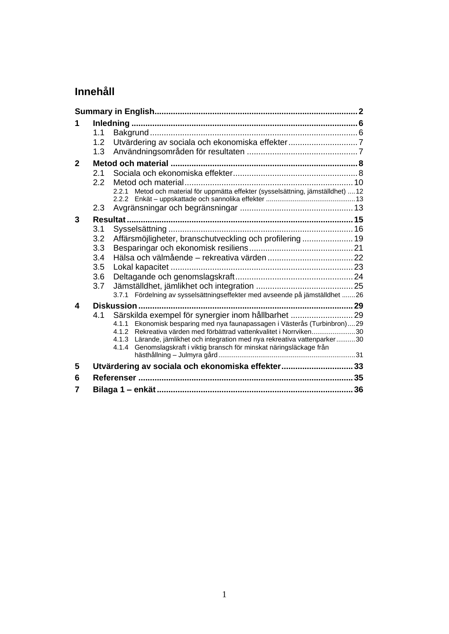# **Innehåll**

|              | 1.1              |                                                                                                                                                            |  |  |  |  |  |
|--------------|------------------|------------------------------------------------------------------------------------------------------------------------------------------------------------|--|--|--|--|--|
|              | 1.2              |                                                                                                                                                            |  |  |  |  |  |
|              | 1.3              |                                                                                                                                                            |  |  |  |  |  |
| $\mathbf{2}$ |                  |                                                                                                                                                            |  |  |  |  |  |
|              | 2.1              |                                                                                                                                                            |  |  |  |  |  |
|              | $2.2\phantom{0}$ |                                                                                                                                                            |  |  |  |  |  |
|              |                  | 2.2.1 Metod och material för uppmätta effekter (sysselsättning, jämställdhet) 12                                                                           |  |  |  |  |  |
|              | 2.3              |                                                                                                                                                            |  |  |  |  |  |
| 3            |                  |                                                                                                                                                            |  |  |  |  |  |
|              | 3.1              |                                                                                                                                                            |  |  |  |  |  |
|              | 3.2              | Affärsmöjligheter, branschutveckling och profilering  19                                                                                                   |  |  |  |  |  |
|              | 3.3              |                                                                                                                                                            |  |  |  |  |  |
|              | 3.4              |                                                                                                                                                            |  |  |  |  |  |
|              | 3.5              |                                                                                                                                                            |  |  |  |  |  |
|              | 3.6              |                                                                                                                                                            |  |  |  |  |  |
|              | 3.7              |                                                                                                                                                            |  |  |  |  |  |
|              |                  | 3.7.1 Fördelning av sysselsättningseffekter med avseende på jämställdhet  26                                                                               |  |  |  |  |  |
| 4            |                  |                                                                                                                                                            |  |  |  |  |  |
|              | 4.1              | Särskilda exempel för synergier inom hållbarhet  29                                                                                                        |  |  |  |  |  |
|              |                  | Ekonomisk besparing med nya faunapassagen i Västerås (Turbinbron)29<br>4.1.1                                                                               |  |  |  |  |  |
|              |                  | Rekreativa värden med förbättrad vattenkvalitet i Norrviken30<br>4.1.2                                                                                     |  |  |  |  |  |
|              |                  | Lärande, jämlikhet och integration med nya rekreativa vattenparker30<br>4.1.3<br>Genomslagskraft i viktig bransch för minskat näringsläckage från<br>4.1.4 |  |  |  |  |  |
|              |                  |                                                                                                                                                            |  |  |  |  |  |
| 5            |                  | Utvärdering av sociala och ekonomiska effekter33                                                                                                           |  |  |  |  |  |
| 6            |                  |                                                                                                                                                            |  |  |  |  |  |
| 7            |                  |                                                                                                                                                            |  |  |  |  |  |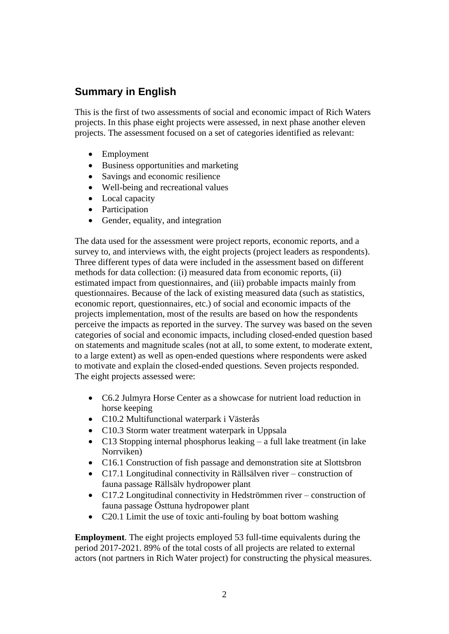# <span id="page-3-0"></span>**Summary in English**

This is the first of two assessments of social and economic impact of Rich Waters projects. In this phase eight projects were assessed, in next phase another eleven projects. The assessment focused on a set of categories identified as relevant:

- Employment
- Business opportunities and marketing
- Savings and economic resilience
- Well-being and recreational values
- Local capacity
- Participation
- Gender, equality, and integration

The data used for the assessment were project reports, economic reports, and a survey to, and interviews with, the eight projects (project leaders as respondents). Three different types of data were included in the assessment based on different methods for data collection: (i) measured data from economic reports, (ii) estimated impact from questionnaires, and (iii) probable impacts mainly from questionnaires. Because of the lack of existing measured data (such as statistics, economic report, questionnaires, etc.) of social and economic impacts of the projects implementation, most of the results are based on how the respondents perceive the impacts as reported in the survey. The survey was based on the seven categories of social and economic impacts, including closed-ended question based on statements and magnitude scales (not at all, to some extent, to moderate extent, to a large extent) as well as open-ended questions where respondents were asked to motivate and explain the closed-ended questions. Seven projects responded. The eight projects assessed were:

- C6.2 Julmyra Horse Center as a showcase for nutrient load reduction in horse keeping
- C10.2 Multifunctional waterpark i Västerås
- C10.3 Storm water treatment waterpark in Uppsala
- C13 Stopping internal phosphorus leaking a full lake treatment (in lake Norrviken)
- C16.1 Construction of fish passage and demonstration site at Slottsbron
- C17.1 Longitudinal connectivity in Rällsälven river construction of fauna passage Rällsälv hydropower plant
- C17.2 Longitudinal connectivity in Hedströmmen river construction of fauna passage Östtuna hydropower plant
- C20.1 Limit the use of toxic anti-fouling by boat bottom washing

**Employment**. The eight projects employed 53 full-time equivalents during the period 2017-2021. 89% of the total costs of all projects are related to external actors (not partners in Rich Water project) for constructing the physical measures.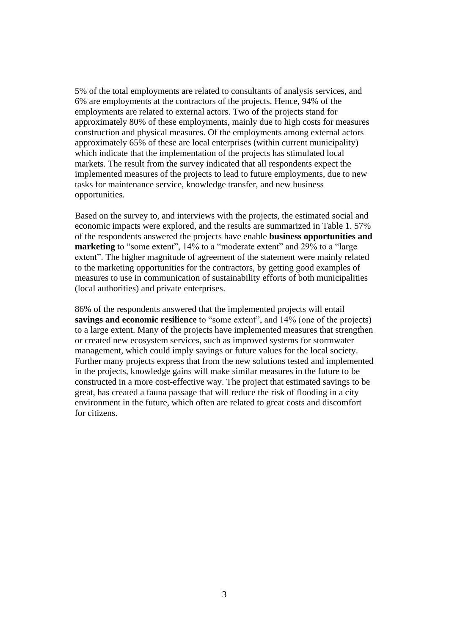5% of the total employments are related to consultants of analysis services, and 6% are employments at the contractors of the projects. Hence, 94% of the employments are related to external actors. Two of the projects stand for approximately 80% of these employments, mainly due to high costs for measures construction and physical measures. Of the employments among external actors approximately 65% of these are local enterprises (within current municipality) which indicate that the implementation of the projects has stimulated local markets. The result from the survey indicated that all respondents expect the implemented measures of the projects to lead to future employments, due to new tasks for maintenance service, knowledge transfer, and new business opportunities.

Based on the survey to, and interviews with the projects, the estimated social and economic impacts were explored, and the results are summarized in Table 1. 57% of the respondents answered the projects have enable **business opportunities and marketing** to "some extent", 14% to a "moderate extent" and 29% to a "large" extent". The higher magnitude of agreement of the statement were mainly related to the marketing opportunities for the contractors, by getting good examples of measures to use in communication of sustainability efforts of both municipalities (local authorities) and private enterprises.

86% of the respondents answered that the implemented projects will entail **savings and economic resilience** to "some extent", and 14% (one of the projects) to a large extent. Many of the projects have implemented measures that strengthen or created new ecosystem services, such as improved systems for stormwater management, which could imply savings or future values for the local society. Further many projects express that from the new solutions tested and implemented in the projects, knowledge gains will make similar measures in the future to be constructed in a more cost-effective way. The project that estimated savings to be great, has created a fauna passage that will reduce the risk of flooding in a city environment in the future, which often are related to great costs and discomfort for citizens.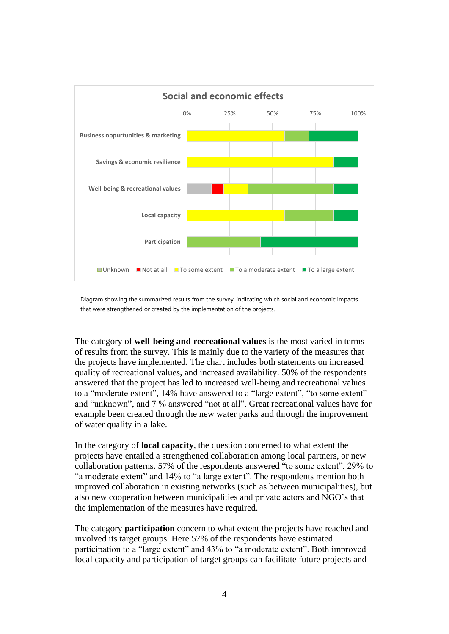

Diagram showing the summarized results from the survey, indicating which social and economic impacts that were strengthened or created by the implementation of the projects.

The category of **well-being and recreational values** is the most varied in terms of results from the survey. This is mainly due to the variety of the measures that the projects have implemented. The chart includes both statements on increased quality of recreational values, and increased availability. 50% of the respondents answered that the project has led to increased well-being and recreational values to a "moderate extent", 14% have answered to a "large extent", "to some extent" and "unknown", and 7 % answered "not at all". Great recreational values have for example been created through the new water parks and through the improvement of water quality in a lake.

In the category of **local capacity**, the question concerned to what extent the projects have entailed a strengthened collaboration among local partners, or new collaboration patterns. 57% of the respondents answered "to some extent", 29% to "a moderate extent" and 14% to "a large extent". The respondents mention both improved collaboration in existing networks (such as between municipalities), but also new cooperation between municipalities and private actors and NGO's that the implementation of the measures have required.

The category **participation** concern to what extent the projects have reached and involved its target groups. Here 57% of the respondents have estimated participation to a "large extent" and 43% to "a moderate extent". Both improved local capacity and participation of target groups can facilitate future projects and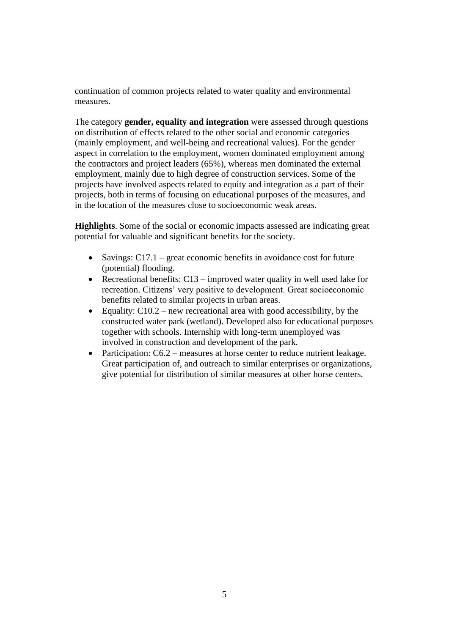continuation of common projects related to water quality and environmental measures.

The category **gender, equality and integration** were assessed through questions on distribution of effects related to the other social and economic categories (mainly employment, and well-being and recreational values). For the gender aspect in correlation to the employment, women dominated employment among the contractors and project leaders (65%), whereas men dominated the external employment, mainly due to high degree of construction services. Some of the projects have involved aspects related to equity and integration as a part of their projects, both in terms of focusing on educational purposes of the measures, and in the location of the measures close to socioeconomic weak areas.

**Highlights**. Some of the social or economic impacts assessed are indicating great potential for valuable and significant benefits for the society.

- Savings:  $C17.1$  great economic benefits in avoidance cost for future (potential) flooding.
- Recreational benefits:  $C13$  improved water quality in well used lake for recreation. Citizens' very positive to development. Great socioeconomic benefits related to similar projects in urban areas.
- Equality:  $C10.2$  new recreational area with good accessibility, by the constructed water park (wetland). Developed also for educational purposes together with schools. Internship with long-term unemployed was involved in construction and development of the park.
- Participation: C6.2 measures at horse center to reduce nutrient leakage. Great participation of, and outreach to similar enterprises or organizations, give potential for distribution of similar measures at other horse centers.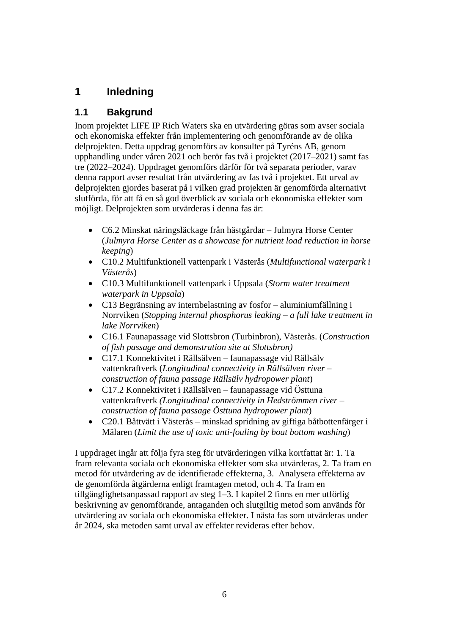# <span id="page-7-0"></span>**1 Inledning**

# <span id="page-7-1"></span>**1.1 Bakgrund**

Inom projektet LIFE IP Rich Waters ska en utvärdering göras som avser sociala och ekonomiska effekter från implementering och genomförande av de olika delprojekten. Detta uppdrag genomförs av konsulter på Tyréns AB, genom upphandling under våren 2021 och berör fas två i projektet (2017–2021) samt fas tre (2022–2024). Uppdraget genomförs därför för två separata perioder, varav denna rapport avser resultat från utvärdering av fas två i projektet. Ett urval av delprojekten gjordes baserat på i vilken grad projekten är genomförda alternativt slutförda, för att få en så god överblick av sociala och ekonomiska effekter som möjligt. Delprojekten som utvärderas i denna fas är:

- C6.2 Minskat näringsläckage från hästgårdar Julmyra Horse Center (*Julmyra Horse Center as a showcase for nutrient load reduction in horse keeping*)
- C10.2 Multifunktionell vattenpark i Västerås (*Multifunctional waterpark i Västerås*)
- C10.3 Multifunktionell vattenpark i Uppsala (*Storm water treatment waterpark in Uppsala*)
- C13 Begränsning av internbelastning av fosfor aluminiumfällning i Norrviken (*Stopping internal phosphorus leaking – a full lake treatment in lake Norrviken*)
- C16.1 Faunapassage vid Slottsbron (Turbinbron), Västerås. (*Construction of fish passage and demonstration site at Slottsbron)*
- C17.1 Konnektivitet i Rällsälven faunapassage vid Rällsälv vattenkraftverk (*Longitudinal connectivity in Rällsälven river – construction of fauna passage Rällsälv hydropower plant*)
- C17.2 Konnektivitet i Rällsälven faunapassage vid Östtuna vattenkraftverk *(Longitudinal connectivity in Hedströmmen river – construction of fauna passage Östtuna hydropower plant*)
- C20.1 Båttvätt i Västerås minskad spridning av giftiga båtbottenfärger i Mälaren (*Limit the use of toxic anti-fouling by boat bottom washing*)

I uppdraget ingår att följa fyra steg för utvärderingen vilka kortfattat är: 1. Ta fram relevanta sociala och ekonomiska effekter som ska utvärderas, 2. Ta fram en metod för utvärdering av de identifierade effekterna, 3. Analysera effekterna av de genomförda åtgärderna enligt framtagen metod, och 4. Ta fram en tillgänglighetsanpassad rapport av steg 1–3. I kapitel 2 finns en mer utförlig beskrivning av genomförande, antaganden och slutgiltig metod som används för utvärdering av sociala och ekonomiska effekter. I nästa fas som utvärderas under år 2024, ska metoden samt urval av effekter revideras efter behov.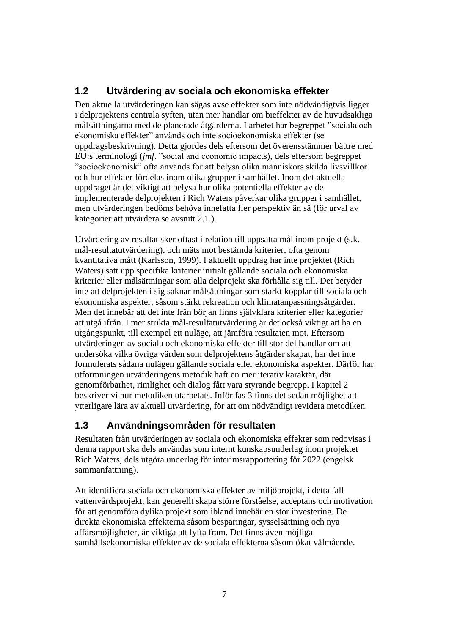# <span id="page-8-0"></span>**1.2 Utvärdering av sociala och ekonomiska effekter**

Den aktuella utvärderingen kan sägas avse effekter som inte nödvändigtvis ligger i delprojektens centrala syften, utan mer handlar om bieffekter av de huvudsakliga målsättningarna med de planerade åtgärderna. I arbetet har begreppet "sociala och ekonomiska effekter" används och inte socioekonomiska effekter (se uppdragsbeskrivning). Detta gjordes dels eftersom det överensstämmer bättre med EU:s terminologi (*jmf*. "social and economic impacts), dels eftersom begreppet "socioekonomisk" ofta används för att belysa olika människors skilda livsvillkor och hur effekter fördelas inom olika grupper i samhället. Inom det aktuella uppdraget är det viktigt att belysa hur olika potentiella effekter av de implementerade delprojekten i Rich Waters påverkar olika grupper i samhället, men utvärderingen bedöms behöva innefatta fler perspektiv än så (för urval av kategorier att utvärdera se avsnitt 2.1.).

Utvärdering av resultat sker oftast i relation till uppsatta mål inom projekt (s.k. mål-resultatutvärdering), och mäts mot bestämda kriterier, ofta genom kvantitativa mått (Karlsson, 1999). I aktuellt uppdrag har inte projektet (Rich Waters) satt upp specifika kriterier initialt gällande sociala och ekonomiska kriterier eller målsättningar som alla delprojekt ska förhålla sig till. Det betyder inte att delprojekten i sig saknar målsättningar som starkt kopplar till sociala och ekonomiska aspekter, såsom stärkt rekreation och klimatanpassningsåtgärder. Men det innebär att det inte från början finns självklara kriterier eller kategorier att utgå ifrån. I mer strikta mål-resultatutvärdering är det också viktigt att ha en utgångspunkt, till exempel ett nuläge, att jämföra resultaten mot. Eftersom utvärderingen av sociala och ekonomiska effekter till stor del handlar om att undersöka vilka övriga värden som delprojektens åtgärder skapat, har det inte formulerats sådana nulägen gällande sociala eller ekonomiska aspekter. Därför har utformningen utvärderingens metodik haft en mer iterativ karaktär, där genomförbarhet, rimlighet och dialog fått vara styrande begrepp. I kapitel 2 beskriver vi hur metodiken utarbetats. Inför fas 3 finns det sedan möjlighet att ytterligare lära av aktuell utvärdering, för att om nödvändigt revidera metodiken.

# <span id="page-8-1"></span>**1.3 Användningsområden för resultaten**

Resultaten från utvärderingen av sociala och ekonomiska effekter som redovisas i denna rapport ska dels användas som internt kunskapsunderlag inom projektet Rich Waters, dels utgöra underlag för interimsrapportering för 2022 (engelsk sammanfattning).

Att identifiera sociala och ekonomiska effekter av miljöprojekt, i detta fall vattenvårdsprojekt, kan generellt skapa större förståelse, acceptans och motivation för att genomföra dylika projekt som ibland innebär en stor investering. De direkta ekonomiska effekterna såsom besparingar, sysselsättning och nya affärsmöjligheter, är viktiga att lyfta fram. Det finns även möjliga samhällsekonomiska effekter av de sociala effekterna såsom ökat välmående.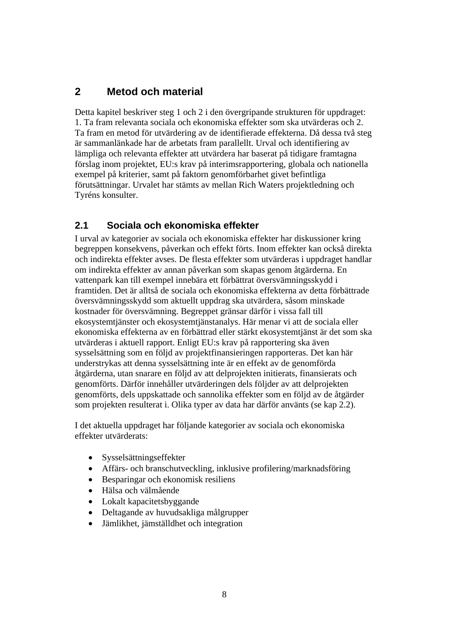# <span id="page-9-0"></span>**2 Metod och material**

Detta kapitel beskriver steg 1 och 2 i den övergripande strukturen för uppdraget: 1. Ta fram relevanta sociala och ekonomiska effekter som ska utvärderas och 2. Ta fram en metod för utvärdering av de identifierade effekterna. Då dessa två steg är sammanlänkade har de arbetats fram parallellt. Urval och identifiering av lämpliga och relevanta effekter att utvärdera har baserat på tidigare framtagna förslag inom projektet, EU:s krav på interimsrapportering, globala och nationella exempel på kriterier, samt på faktorn genomförbarhet givet befintliga förutsättningar. Urvalet har stämts av mellan Rich Waters projektledning och Tyréns konsulter.

### <span id="page-9-1"></span>**2.1 Sociala och ekonomiska effekter**

I urval av kategorier av sociala och ekonomiska effekter har diskussioner kring begreppen konsekvens, påverkan och effekt förts. Inom effekter kan också direkta och indirekta effekter avses. De flesta effekter som utvärderas i uppdraget handlar om indirekta effekter av annan påverkan som skapas genom åtgärderna. En vattenpark kan till exempel innebära ett förbättrat översvämningsskydd i framtiden. Det är alltså de sociala och ekonomiska effekterna av detta förbättrade översvämningsskydd som aktuellt uppdrag ska utvärdera, såsom minskade kostnader för översvämning. Begreppet gränsar därför i vissa fall till ekosystemtjänster och ekosystemtjänstanalys. Här menar vi att de sociala eller ekonomiska effekterna av en förbättrad eller stärkt ekosystemtjänst är det som ska utvärderas i aktuell rapport. Enligt EU:s krav på rapportering ska även sysselsättning som en följd av projektfinansieringen rapporteras. Det kan här understrykas att denna sysselsättning inte är en effekt av de genomförda åtgärderna, utan snarare en följd av att delprojekten initierats, finansierats och genomförts. Därför innehåller utvärderingen dels följder av att delprojekten genomförts, dels uppskattade och sannolika effekter som en följd av de åtgärder som projekten resulterat i. Olika typer av data har därför använts (se kap 2.2).

I det aktuella uppdraget har följande kategorier av sociala och ekonomiska effekter utvärderats:

- Sysselsättningseffekter
- Affärs- och branschutveckling, inklusive profilering/marknadsföring
- Besparingar och ekonomisk resiliens
- Hälsa och välmående
- Lokalt kapacitetsbyggande
- Deltagande av huvudsakliga målgrupper
- Jämlikhet, jämställdhet och integration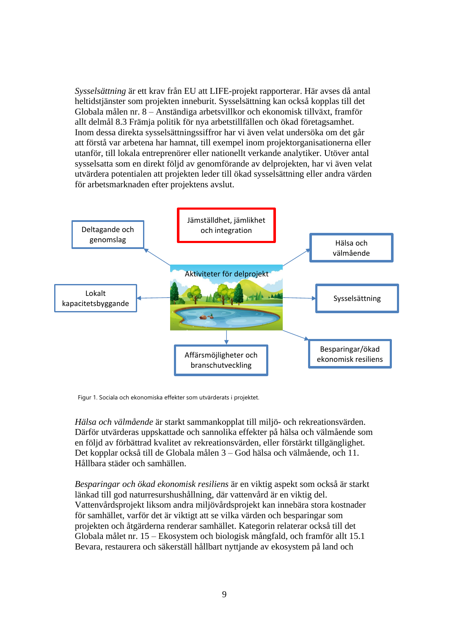*Sysselsättning* är ett krav från EU att LIFE-projekt rapporterar. Här avses då antal heltidstjänster som projekten inneburit. Sysselsättning kan också kopplas till det Globala målen nr. 8 – Anständiga arbetsvillkor och ekonomisk tillväxt, framför allt delmål 8.3 Främja politik för nya arbetstillfällen och ökad företagsamhet. Inom dessa direkta sysselsättningssiffror har vi även velat undersöka om det går att förstå var arbetena har hamnat, till exempel inom projektorganisationerna eller utanför, till lokala entreprenörer eller nationellt verkande analytiker. Utöver antal sysselsatta som en direkt följd av genomförande av delprojekten, har vi även velat utvärdera potentialen att projekten leder till ökad sysselsättning eller andra värden för arbetsmarknaden efter projektens avslut.



Figur 1. Sociala och ekonomiska effekter som utvärderats i projektet.

*Hälsa och välmående* är starkt sammankopplat till miljö- och rekreationsvärden. Därför utvärderas uppskattade och sannolika effekter på hälsa och välmående som en följd av förbättrad kvalitet av rekreationsvärden, eller förstärkt tillgänglighet. Det kopplar också till de Globala målen 3 – God hälsa och välmående, och 11. Hållbara städer och samhällen.

*Besparingar och ökad ekonomisk resiliens* är en viktig aspekt som också är starkt länkad till god naturresurshushållning, där vattenvård är en viktig del. Vattenvårdsprojekt liksom andra miljövårdsprojekt kan innebära stora kostnader för samhället, varför det är viktigt att se vilka värden och besparingar som projekten och åtgärderna renderar samhället. Kategorin relaterar också till det Globala målet nr. 15 – Ekosystem och biologisk mångfald, och framför allt 15.1 Bevara, restaurera och säkerställ hållbart nyttjande av ekosystem på land och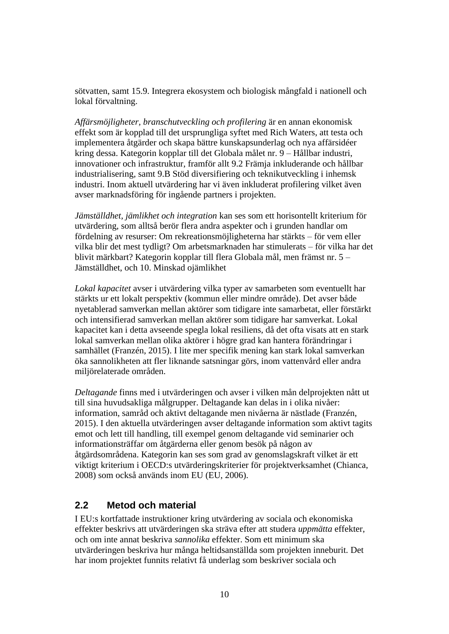sötvatten, samt 15.9. Integrera ekosystem och biologisk mångfald i nationell och lokal förvaltning.

*Affärsmöjligheter, branschutveckling och profilering* är en annan ekonomisk effekt som är kopplad till det ursprungliga syftet med Rich Waters, att testa och implementera åtgärder och skapa bättre kunskapsunderlag och nya affärsidéer kring dessa. Kategorin kopplar till det Globala målet nr. 9 – Hållbar industri, innovationer och infrastruktur, framför allt 9.2 Främja inkluderande och hållbar industrialisering, samt 9.B Stöd diversifiering och teknikutveckling i inhemsk industri. Inom aktuell utvärdering har vi även inkluderat profilering vilket även avser marknadsföring för ingående partners i projekten.

*Jämställdhet, jämlikhet och integration* kan ses som ett horisontellt kriterium för utvärdering, som alltså berör flera andra aspekter och i grunden handlar om fördelning av resurser: Om rekreationsmöjligheterna har stärkts – för vem eller vilka blir det mest tydligt? Om arbetsmarknaden har stimulerats – för vilka har det blivit märkbart? Kategorin kopplar till flera Globala mål, men främst nr. 5 – Jämställdhet, och 10. Minskad ojämlikhet

*Lokal kapacitet* avser i utvärdering vilka typer av samarbeten som eventuellt har stärkts ur ett lokalt perspektiv (kommun eller mindre område). Det avser både nyetablerad samverkan mellan aktörer som tidigare inte samarbetat, eller förstärkt och intensifierad samverkan mellan aktörer som tidigare har samverkat. Lokal kapacitet kan i detta avseende spegla lokal resiliens, då det ofta visats att en stark lokal samverkan mellan olika aktörer i högre grad kan hantera förändringar i samhället (Franzén, 2015). I lite mer specifik mening kan stark lokal samverkan öka sannolikheten att fler liknande satsningar görs, inom vattenvård eller andra miljörelaterade områden.

*Deltagande* finns med i utvärderingen och avser i vilken mån delprojekten nått ut till sina huvudsakliga målgrupper. Deltagande kan delas in i olika nivåer: information, samråd och aktivt deltagande men nivåerna är nästlade (Franzén, 2015). I den aktuella utvärderingen avser deltagande information som aktivt tagits emot och lett till handling, till exempel genom deltagande vid seminarier och informationsträffar om åtgärderna eller genom besök på någon av åtgärdsområdena. Kategorin kan ses som grad av genomslagskraft vilket är ett viktigt kriterium i OECD:s utvärderingskriterier för projektverksamhet (Chianca, 2008) som också används inom EU (EU, 2006).

### <span id="page-11-0"></span>**2.2 Metod och material**

I EU:s kortfattade instruktioner kring utvärdering av sociala och ekonomiska effekter beskrivs att utvärderingen ska sträva efter att studera *uppmätta* effekter, och om inte annat beskriva *sannolika* effekter. Som ett minimum ska utvärderingen beskriva hur många heltidsanställda som projekten inneburit. Det har inom projektet funnits relativt få underlag som beskriver sociala och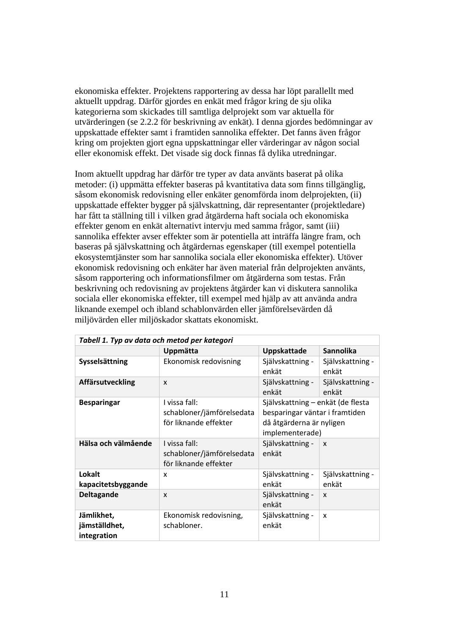ekonomiska effekter. Projektens rapportering av dessa har löpt parallellt med aktuellt uppdrag. Därför gjordes en enkät med frågor kring de sju olika kategorierna som skickades till samtliga delprojekt som var aktuella för utvärderingen (se 2.2.2 för beskrivning av enkät). I denna gjordes bedömningar av uppskattade effekter samt i framtiden sannolika effekter. Det fanns även frågor kring om projekten gjort egna uppskattningar eller värderingar av någon social eller ekonomisk effekt. Det visade sig dock finnas få dylika utredningar.

Inom aktuellt uppdrag har därför tre typer av data använts baserat på olika metoder: (i) uppmätta effekter baseras på kvantitativa data som finns tillgänglig, såsom ekonomisk redovisning eller enkäter genomförda inom delprojekten, (ii) uppskattade effekter bygger på självskattning, där representanter (projektledare) har fått ta ställning till i vilken grad åtgärderna haft sociala och ekonomiska effekter genom en enkät alternativt intervju med samma frågor, samt (iii) sannolika effekter avser effekter som är potentiella att inträffa längre fram, och baseras på självskattning och åtgärdernas egenskaper (till exempel potentiella ekosystemtjänster som har sannolika sociala eller ekonomiska effekter). Utöver ekonomisk redovisning och enkäter har även material från delprojekten använts, såsom rapportering och informationsfilmer om åtgärderna som testas. Från beskrivning och redovisning av projektens åtgärder kan vi diskutera sannolika sociala eller ekonomiska effekter, till exempel med hjälp av att använda andra liknande exempel och ibland schablonvärden eller jämförelsevärden då miljövärden eller miljöskador skattats ekonomiskt.

| Tabell 1. Typ av data och metod per kategori |                                                                     |                                                                                                                    |                           |  |  |  |  |
|----------------------------------------------|---------------------------------------------------------------------|--------------------------------------------------------------------------------------------------------------------|---------------------------|--|--|--|--|
|                                              | Uppmätta                                                            | Uppskattade                                                                                                        | <b>Sannolika</b>          |  |  |  |  |
| Sysselsättning                               | Ekonomisk redovisning                                               | Självskattning -<br>enkät                                                                                          | Självskattning -<br>enkät |  |  |  |  |
| <b>Affärsutveckling</b>                      | X                                                                   | Självskattning -<br>enkät                                                                                          | Självskattning -<br>enkät |  |  |  |  |
| <b>Besparingar</b>                           | I vissa fall:<br>schabloner/jämförelsedata<br>för liknande effekter | Självskattning – enkät (de flesta<br>besparingar väntar i framtiden<br>då åtgärderna är nyligen<br>implementerade) |                           |  |  |  |  |
| Hälsa och välmående                          | I vissa fall:<br>schabloner/jämförelsedata<br>för liknande effekter | Självskattning -<br>enkät                                                                                          | $\mathsf{x}$              |  |  |  |  |
| Lokalt<br>kapacitetsbyggande                 | x                                                                   | Självskattning -<br>enkät                                                                                          | Självskattning -<br>enkät |  |  |  |  |
| <b>Deltagande</b>                            | X                                                                   | Självskattning -<br>enkät                                                                                          | X                         |  |  |  |  |
| Jämlikhet,<br>jämställdhet,<br>integration   | Ekonomisk redovisning,<br>schabloner.                               | Självskattning -<br>enkät                                                                                          | X                         |  |  |  |  |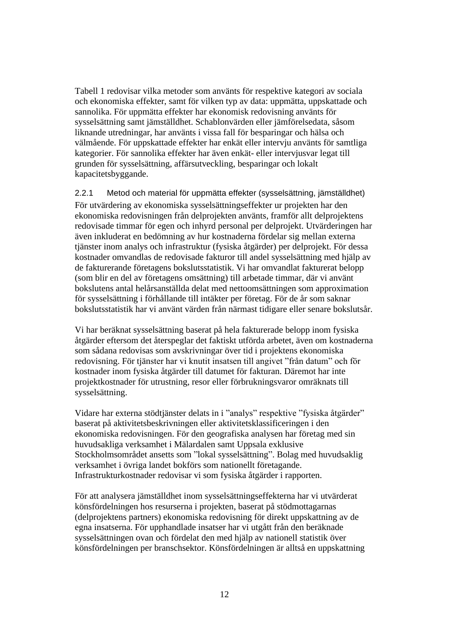Tabell 1 redovisar vilka metoder som använts för respektive kategori av sociala och ekonomiska effekter, samt för vilken typ av data: uppmätta, uppskattade och sannolika. För uppmätta effekter har ekonomisk redovisning använts för sysselsättning samt jämställdhet. Schablonvärden eller jämförelsedata, såsom liknande utredningar, har använts i vissa fall för besparingar och hälsa och välmående. För uppskattade effekter har enkät eller intervju använts för samtliga kategorier. För sannolika effekter har även enkät- eller intervjusvar legat till grunden för sysselsättning, affärsutveckling, besparingar och lokalt kapacitetsbyggande.

<span id="page-13-0"></span>2.2.1 Metod och material för uppmätta effekter (sysselsättning, jämställdhet) För utvärdering av ekonomiska sysselsättningseffekter ur projekten har den ekonomiska redovisningen från delprojekten använts, framför allt delprojektens redovisade timmar för egen och inhyrd personal per delprojekt. Utvärderingen har även inkluderat en bedömning av hur kostnaderna fördelar sig mellan externa tjänster inom analys och infrastruktur (fysiska åtgärder) per delprojekt. För dessa kostnader omvandlas de redovisade fakturor till andel sysselsättning med hjälp av de fakturerande företagens bokslutsstatistik. Vi har omvandlat fakturerat belopp (som blir en del av företagens omsättning) till arbetade timmar, där vi använt bokslutens antal helårsanställda delat med nettoomsättningen som approximation för sysselsättning i förhållande till intäkter per företag. För de år som saknar bokslutsstatistik har vi använt värden från närmast tidigare eller senare bokslutsår.

Vi har beräknat sysselsättning baserat på hela fakturerade belopp inom fysiska åtgärder eftersom det återspeglar det faktiskt utförda arbetet, även om kostnaderna som sådana redovisas som avskrivningar över tid i projektens ekonomiska redovisning. För tjänster har vi knutit insatsen till angivet "från datum" och för kostnader inom fysiska åtgärder till datumet för fakturan. Däremot har inte projektkostnader för utrustning, resor eller förbrukningsvaror omräknats till sysselsättning.

Vidare har externa stödtjänster delats in i "analys" respektive "fysiska åtgärder" baserat på aktivitetsbeskrivningen eller aktivitetsklassificeringen i den ekonomiska redovisningen. För den geografiska analysen har företag med sin huvudsakliga verksamhet i Mälardalen samt Uppsala exklusive Stockholmsområdet ansetts som "lokal sysselsättning". Bolag med huvudsaklig verksamhet i övriga landet bokförs som nationellt företagande. Infrastrukturkostnader redovisar vi som fysiska åtgärder i rapporten.

För att analysera jämställdhet inom sysselsättningseffekterna har vi utvärderat könsfördelningen hos resurserna i projekten, baserat på stödmottagarnas (delprojektens partners) ekonomiska redovisning för direkt uppskattning av de egna insatserna. För upphandlade insatser har vi utgått från den beräknade sysselsättningen ovan och fördelat den med hjälp av nationell statistik över könsfördelningen per branschsektor. Könsfördelningen är alltså en uppskattning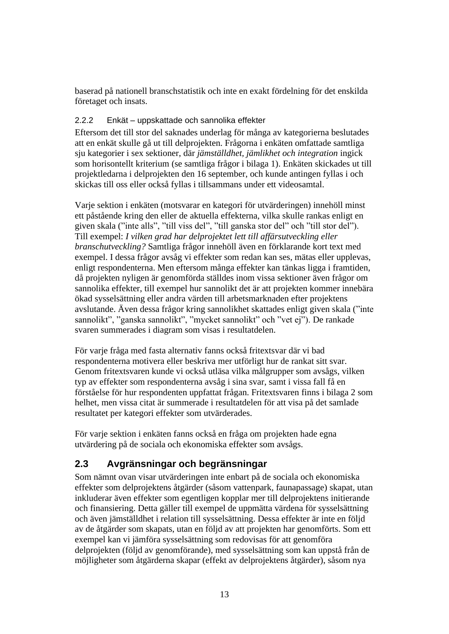baserad på nationell branschstatistik och inte en exakt fördelning för det enskilda företaget och insats.

### <span id="page-14-0"></span>2.2.2 Enkät – uppskattade och sannolika effekter

Eftersom det till stor del saknades underlag för många av kategorierna beslutades att en enkät skulle gå ut till delprojekten. Frågorna i enkäten omfattade samtliga sju kategorier i sex sektioner, där *jämställdhet, jämlikhet och integration* ingick som horisontellt kriterium (se samtliga frågor i bilaga 1). Enkäten skickades ut till projektledarna i delprojekten den 16 september, och kunde antingen fyllas i och skickas till oss eller också fyllas i tillsammans under ett videosamtal.

Varje sektion i enkäten (motsvarar en kategori för utvärderingen) innehöll minst ett påstående kring den eller de aktuella effekterna, vilka skulle rankas enligt en given skala ("inte alls", "till viss del", "till ganska stor del" och "till stor del"). Till exempel: *I vilken grad har delprojektet lett till affärsutveckling eller branschutveckling?* Samtliga frågor innehöll även en förklarande kort text med exempel. I dessa frågor avsåg vi effekter som redan kan ses, mätas eller upplevas, enligt respondenterna. Men eftersom många effekter kan tänkas ligga i framtiden, då projekten nyligen är genomförda ställdes inom vissa sektioner även frågor om sannolika effekter, till exempel hur sannolikt det är att projekten kommer innebära ökad sysselsättning eller andra värden till arbetsmarknaden efter projektens avslutande. Även dessa frågor kring sannolikhet skattades enligt given skala ("inte sannolikt", "ganska sannolikt", "mycket sannolikt" och "vet ej"). De rankade svaren summerades i diagram som visas i resultatdelen.

För varje fråga med fasta alternativ fanns också fritextsvar där vi bad respondenterna motivera eller beskriva mer utförligt hur de rankat sitt svar. Genom fritextsvaren kunde vi också utläsa vilka målgrupper som avsågs, vilken typ av effekter som respondenterna avsåg i sina svar, samt i vissa fall få en förståelse för hur respondenten uppfattat frågan. Fritextsvaren finns i bilaga 2 som helhet, men vissa citat är summerade i resultatdelen för att visa på det samlade resultatet per kategori effekter som utvärderades.

För varje sektion i enkäten fanns också en fråga om projekten hade egna utvärdering på de sociala och ekonomiska effekter som avsågs.

# <span id="page-14-1"></span>**2.3 Avgränsningar och begränsningar**

Som nämnt ovan visar utvärderingen inte enbart på de sociala och ekonomiska effekter som delprojektens åtgärder (såsom vattenpark, faunapassage) skapat, utan inkluderar även effekter som egentligen kopplar mer till delprojektens initierande och finansiering. Detta gäller till exempel de uppmätta värdena för sysselsättning och även jämställdhet i relation till sysselsättning. Dessa effekter är inte en följd av de åtgärder som skapats, utan en följd av att projekten har genomförts. Som ett exempel kan vi jämföra sysselsättning som redovisas för att genomföra delprojekten (följd av genomförande), med sysselsättning som kan uppstå från de möjligheter som åtgärderna skapar (effekt av delprojektens åtgärder), såsom nya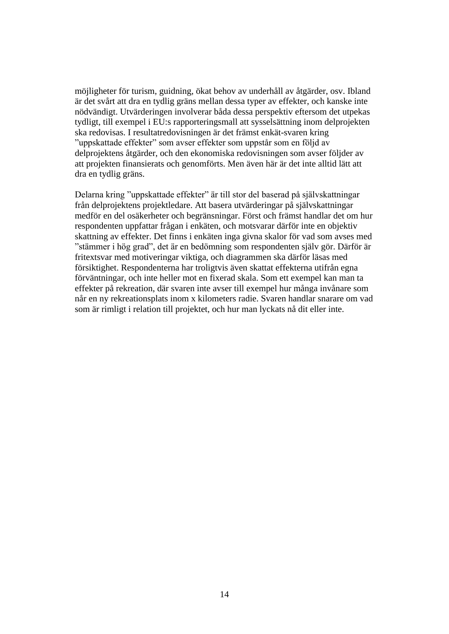möjligheter för turism, guidning, ökat behov av underhåll av åtgärder, osv. Ibland är det svårt att dra en tydlig gräns mellan dessa typer av effekter, och kanske inte nödvändigt. Utvärderingen involverar båda dessa perspektiv eftersom det utpekas tydligt, till exempel i EU:s rapporteringsmall att sysselsättning inom delprojekten ska redovisas. I resultatredovisningen är det främst enkät-svaren kring "uppskattade effekter" som avser effekter som uppstår som en följd av delprojektens åtgärder, och den ekonomiska redovisningen som avser följder av att projekten finansierats och genomförts. Men även här är det inte alltid lätt att dra en tydlig gräns.

Delarna kring "uppskattade effekter" är till stor del baserad på självskattningar från delprojektens projektledare. Att basera utvärderingar på självskattningar medför en del osäkerheter och begränsningar. Först och främst handlar det om hur respondenten uppfattar frågan i enkäten, och motsvarar därför inte en objektiv skattning av effekter. Det finns i enkäten inga givna skalor för vad som avses med "stämmer i hög grad", det är en bedömning som respondenten själv gör. Därför är fritextsvar med motiveringar viktiga, och diagrammen ska därför läsas med försiktighet. Respondenterna har troligtvis även skattat effekterna utifrån egna förväntningar, och inte heller mot en fixerad skala. Som ett exempel kan man ta effekter på rekreation, där svaren inte avser till exempel hur många invånare som når en ny rekreationsplats inom x kilometers radie. Svaren handlar snarare om vad som är rimligt i relation till projektet, och hur man lyckats nå dit eller inte.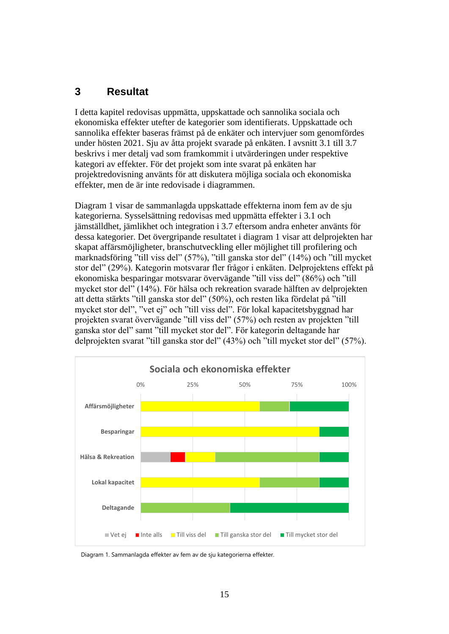# <span id="page-16-0"></span>**3 Resultat**

I detta kapitel redovisas uppmätta, uppskattade och sannolika sociala och ekonomiska effekter utefter de kategorier som identifierats. Uppskattade och sannolika effekter baseras främst på de enkäter och intervjuer som genomfördes under hösten 2021. Sju av åtta projekt svarade på enkäten. I avsnitt 3.1 till 3.7 beskrivs i mer detalj vad som framkommit i utvärderingen under respektive kategori av effekter. För det projekt som inte svarat på enkäten har projektredovisning använts för att diskutera möjliga sociala och ekonomiska effekter, men de är inte redovisade i diagrammen.

Diagram 1 visar de sammanlagda uppskattade effekterna inom fem av de sju kategorierna. Sysselsättning redovisas med uppmätta effekter i 3.1 och jämställdhet, jämlikhet och integration i 3.7 eftersom andra enheter använts för dessa kategorier. Det övergripande resultatet i diagram 1 visar att delprojekten har skapat affärsmöjligheter, branschutveckling eller möjlighet till profilering och marknadsföring "till viss del" (57%), "till ganska stor del" (14%) och "till mycket stor del" (29%). Kategorin motsvarar fler frågor i enkäten. Delprojektens effekt på ekonomiska besparingar motsvarar övervägande "till viss del" (86%) och "till mycket stor del" (14%). För hälsa och rekreation svarade hälften av delprojekten att detta stärkts "till ganska stor del" (50%), och resten lika fördelat på "till mycket stor del", "vet ej" och "till viss del". För lokal kapacitetsbyggnad har projekten svarat övervägande "till viss del" (57%) och resten av projekten "till ganska stor del" samt "till mycket stor del". För kategorin deltagande har delprojekten svarat "till ganska stor del" (43%) och "till mycket stor del" (57%).



Diagram 1. Sammanlagda effekter av fem av de sju kategorierna effekter.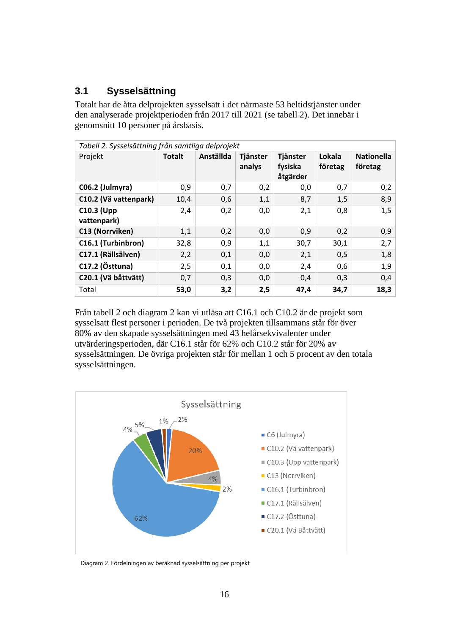# <span id="page-17-0"></span>**3.1 Sysselsättning**

Totalt har de åtta delprojekten sysselsatt i det närmaste 53 heltidstjänster under den analyserade projektperioden från 2017 till 2021 (se tabell 2). Det innebär i genomsnitt 10 personer på årsbasis.

| Tabell 2. Sysselsättning från samtliga delprojekt |               |           |                    |                                 |                   |                              |
|---------------------------------------------------|---------------|-----------|--------------------|---------------------------------|-------------------|------------------------------|
| Projekt                                           | <b>Totalt</b> | Anställda | Tjänster<br>analys | Tjänster<br>fysiska<br>åtgärder | Lokala<br>företag | <b>Nationella</b><br>företag |
| C06.2 (Julmyra)                                   | 0,9           | 0,7       | 0,2                | 0,0                             | 0,7               | 0,2                          |
| C10.2 (Vä vattenpark)                             | 10,4          | 0,6       | 1,1                | 8,7                             | 1,5               | 8,9                          |
| <b>C10.3 (Upp</b><br>vattenpark)                  | 2,4           | 0,2       | 0,0                | 2,1                             | 0,8               | 1,5                          |
| C13 (Norrviken)                                   | 1,1           | 0,2       | 0,0                | 0,9                             | 0,2               | 0,9                          |
| C16.1 (Turbinbron)                                | 32,8          | 0,9       | 1,1                | 30,7                            | 30,1              | 2,7                          |
| C17.1 (Rällsälven)                                | 2,2           | 0,1       | 0,0                | 2,1                             | 0,5               | 1,8                          |
| C17.2 (Östtuna)                                   | 2,5           | 0,1       | 0,0                | 2,4                             | 0,6               | 1,9                          |
| C20.1 (Vä båttvätt)                               | 0,7           | 0,3       | 0,0                | 0,4                             | 0,3               | 0,4                          |
| Total                                             | 53,0          | 3,2       | 2,5                | 47,4                            | 34,7              | 18,3                         |

Från tabell 2 och diagram 2 kan vi utläsa att C16.1 och C10.2 är de projekt som sysselsatt flest personer i perioden. De två projekten tillsammans står för över 80% av den skapade sysselsättningen med 43 helårsekvivalenter under utvärderingsperioden, där C16.1 står för 62% och C10.2 står för 20% av sysselsättningen. De övriga projekten står för mellan 1 och 5 procent av den totala sysselsättningen.



Diagram 2. Fördelningen av beräknad sysselsättning per projekt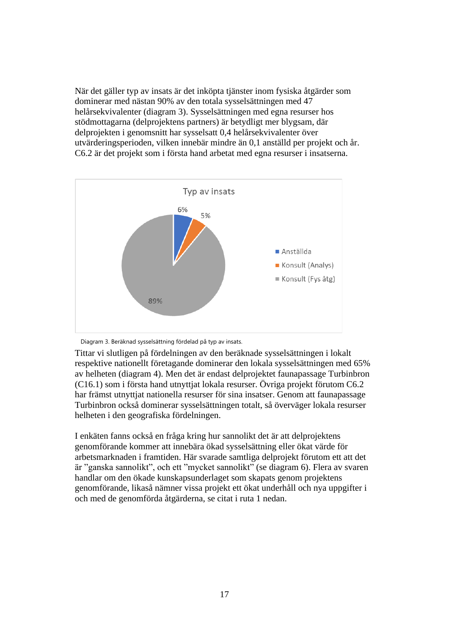När det gäller typ av insats är det inköpta tjänster inom fysiska åtgärder som dominerar med nästan 90% av den totala sysselsättningen med 47 helårsekvivalenter (diagram 3). Sysselsättningen med egna resurser hos stödmottagarna (delprojektens partners) är betydligt mer blygsam, där delprojekten i genomsnitt har sysselsatt 0,4 helårsekvivalenter över utvärderingsperioden, vilken innebär mindre än 0,1 anställd per projekt och år. C6.2 är det projekt som i första hand arbetat med egna resurser i insatserna.



Diagram 3. Beräknad sysselsättning fördelad på typ av insats.

Tittar vi slutligen på fördelningen av den beräknade sysselsättningen i lokalt respektive nationellt företagande dominerar den lokala sysselsättningen med 65% av helheten (diagram 4). Men det är endast delprojektet faunapassage Turbinbron (C16.1) som i första hand utnyttjat lokala resurser. Övriga projekt förutom C6.2 har främst utnyttjat nationella resurser för sina insatser. Genom att faunapassage Turbinbron också dominerar sysselsättningen totalt, så överväger lokala resurser helheten i den geografiska fördelningen.

I enkäten fanns också en fråga kring hur sannolikt det är att delprojektens genomförande kommer att innebära ökad sysselsättning eller ökat värde för arbetsmarknaden i framtiden. Här svarade samtliga delprojekt förutom ett att det är "ganska sannolikt", och ett "mycket sannolikt" (se diagram 6). Flera av svaren handlar om den ökade kunskapsunderlaget som skapats genom projektens genomförande, likaså nämner vissa projekt ett ökat underhåll och nya uppgifter i och med de genomförda åtgärderna, se citat i ruta 1 nedan.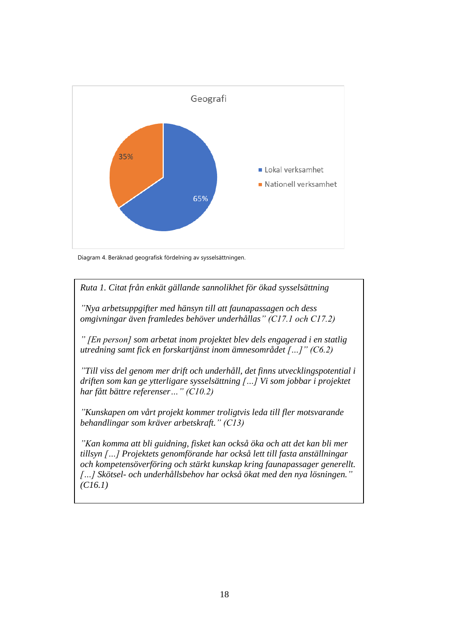

Diagram 4. Beräknad geografisk fördelning av sysselsättningen.

*Ruta 1. Citat från enkät gällande sannolikhet för ökad sysselsättning*

*"Nya arbetsuppgifter med hänsyn till att faunapassagen och dess omgivningar även framledes behöver underhållas" (C17.1 och C17.2)*

*" [En person] som arbetat inom projektet blev dels engagerad i en statlig utredning samt fick en forskartjänst inom ämnesområdet […]" (C6.2)*

*"Till viss del genom mer drift och underhåll, det finns utvecklingspotential i driften som kan ge ytterligare sysselsättning […] Vi som jobbar i projektet har fått bättre referenser…" (C10.2)*

*"Kunskapen om vårt projekt kommer troligtvis leda till fler motsvarande behandlingar som kräver arbetskraft." (C13)*

*"Kan komma att bli guidning, fisket kan också öka och att det kan bli mer tillsyn […] Projektets genomförande har också lett till fasta anställningar och kompetensöverföring och stärkt kunskap kring faunapassager generellt. […] Skötsel- och underhållsbehov har också ökat med den nya lösningen." (C16.1)*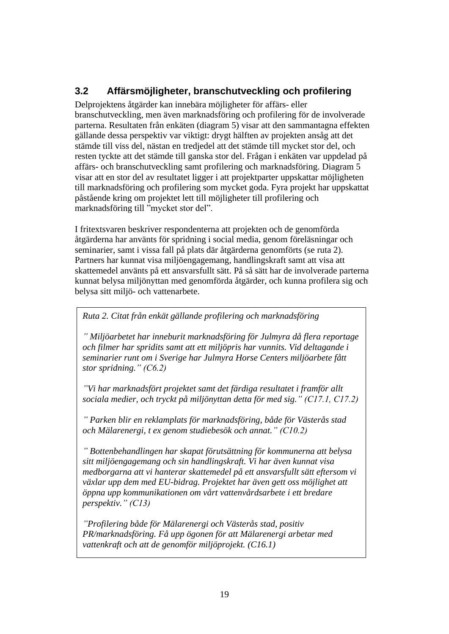# <span id="page-20-0"></span>**3.2 Affärsmöjligheter, branschutveckling och profilering**

Delprojektens åtgärder kan innebära möjligheter för affärs- eller branschutveckling, men även marknadsföring och profilering för de involverade parterna. Resultaten från enkäten (diagram 5) visar att den sammantagna effekten gällande dessa perspektiv var viktigt: drygt hälften av projekten ansåg att det stämde till viss del, nästan en tredjedel att det stämde till mycket stor del, och resten tyckte att det stämde till ganska stor del. Frågan i enkäten var uppdelad på affärs- och branschutveckling samt profilering och marknadsföring. Diagram 5 visar att en stor del av resultatet ligger i att projektparter uppskattar möjligheten till marknadsföring och profilering som mycket goda. Fyra projekt har uppskattat påstående kring om projektet lett till möjligheter till profilering och marknadsföring till "mycket stor del".

I fritextsvaren beskriver respondenterna att projekten och de genomförda åtgärderna har använts för spridning i social media, genom föreläsningar och seminarier, samt i vissa fall på plats där åtgärderna genomförts (se ruta 2). Partners har kunnat visa miljöengagemang, handlingskraft samt att visa att skattemedel använts på ett ansvarsfullt sätt. På så sätt har de involverade parterna kunnat belysa miljönyttan med genomförda åtgärder, och kunna profilera sig och belysa sitt miljö- och vattenarbete.

*Ruta 2. Citat från enkät gällande profilering och marknadsföring* 

*" Miljöarbetet har inneburit marknadsföring för Julmyra då flera reportage och filmer har spridits samt att ett miljöpris har vunnits. Vid deltagande i seminarier runt om i Sverige har Julmyra Horse Centers miljöarbete fått stor spridning." (C6.2)* 

*"Vi har marknadsfört projektet samt det färdiga resultatet i framför allt sociala medier, och tryckt på miljönyttan detta för med sig." (C17.1, C17.2)*

*" Parken blir en reklamplats för marknadsföring, både för Västerås stad och Mälarenergi, t ex genom studiebesök och annat." (C10.2)*

*" Bottenbehandlingen har skapat förutsättning för kommunerna att belysa sitt miljöengagemang och sin handlingskraft. Vi har även kunnat visa medborgarna att vi hanterar skattemedel på ett ansvarsfullt sätt eftersom vi växlar upp dem med EU-bidrag. Projektet har även gett oss möjlighet att öppna upp kommunikationen om vårt vattenvårdsarbete i ett bredare perspektiv." (C13)*

*"Profilering både för Mälarenergi och Västerås stad, positiv PR/marknadsföring. Få upp ögonen för att Mälarenergi arbetar med vattenkraft och att de genomför miljöprojekt. (C16.1)*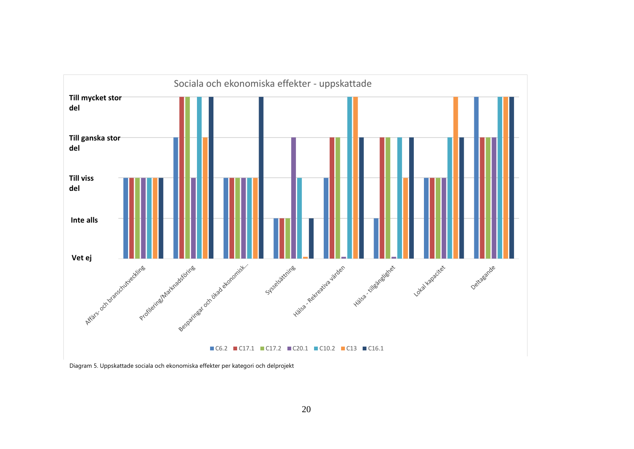

Diagram 5. Uppskattade sociala och ekonomiska effekter per kategori och delprojekt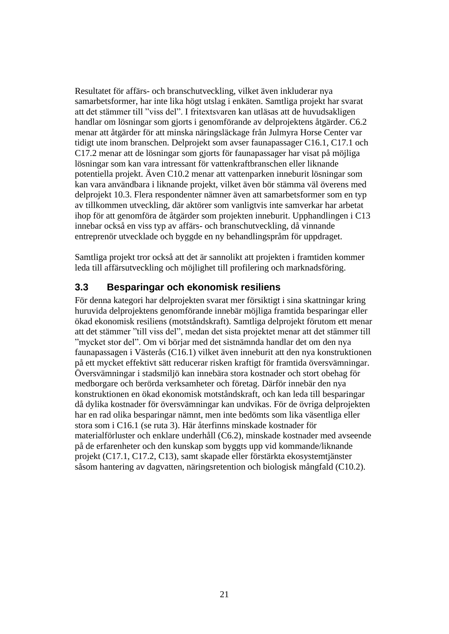Resultatet för affärs- och branschutveckling, vilket även inkluderar nya samarbetsformer, har inte lika högt utslag i enkäten. Samtliga projekt har svarat att det stämmer till "viss del". I fritextsvaren kan utläsas att de huvudsakligen handlar om lösningar som gjorts i genomförande av delprojektens åtgärder. C6.2 menar att åtgärder för att minska näringsläckage från Julmyra Horse Center var tidigt ute inom branschen. Delprojekt som avser faunapassager C16.1, C17.1 och C17.2 menar att de lösningar som gjorts för faunapassager har visat på möjliga lösningar som kan vara intressant för vattenkraftbranschen eller liknande potentiella projekt. Även C10.2 menar att vattenparken inneburit lösningar som kan vara användbara i liknande projekt, vilket även bör stämma väl överens med delprojekt 10.3. Flera respondenter nämner även att samarbetsformer som en typ av tillkommen utveckling, där aktörer som vanligtvis inte samverkar har arbetat ihop för att genomföra de åtgärder som projekten inneburit. Upphandlingen i C13 innebar också en viss typ av affärs- och branschutveckling, då vinnande entreprenör utvecklade och byggde en ny behandlingspråm för uppdraget.

Samtliga projekt tror också att det är sannolikt att projekten i framtiden kommer leda till affärsutveckling och möjlighet till profilering och marknadsföring.

### <span id="page-22-0"></span>**3.3 Besparingar och ekonomisk resiliens**

För denna kategori har delprojekten svarat mer försiktigt i sina skattningar kring huruvida delprojektens genomförande innebär möjliga framtida besparingar eller ökad ekonomisk resiliens (motståndskraft). Samtliga delprojekt förutom ett menar att det stämmer "till viss del", medan det sista projektet menar att det stämmer till "mycket stor del". Om vi börjar med det sistnämnda handlar det om den nya faunapassagen i Västerås (C16.1) vilket även inneburit att den nya konstruktionen på ett mycket effektivt sätt reducerar risken kraftigt för framtida översvämningar. Översvämningar i stadsmiljö kan innebära stora kostnader och stort obehag för medborgare och berörda verksamheter och företag. Därför innebär den nya konstruktionen en ökad ekonomisk motståndskraft, och kan leda till besparingar då dylika kostnader för översvämningar kan undvikas. För de övriga delprojekten har en rad olika besparingar nämnt, men inte bedömts som lika väsentliga eller stora som i C16.1 (se ruta 3). Här återfinns minskade kostnader för materialförluster och enklare underhåll (C6.2), minskade kostnader med avseende på de erfarenheter och den kunskap som byggts upp vid kommande/liknande projekt (C17.1, C17.2, C13), samt skapade eller förstärkta ekosystemtjänster såsom hantering av dagvatten, näringsretention och biologisk mångfald (C10.2).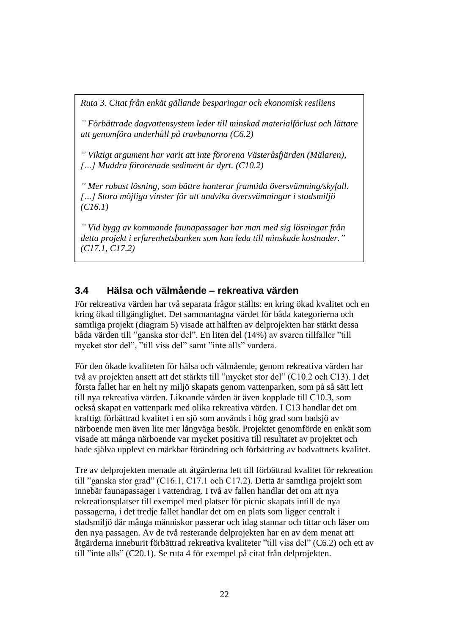*Ruta 3. Citat från enkät gällande besparingar och ekonomisk resiliens* 

*" Förbättrade dagvattensystem leder till minskad materialförlust och lättare att genomföra underhåll på travbanorna (C6.2)*

*" Viktigt argument har varit att inte förorena Västeråsfjärden (Mälaren), […] Muddra förorenade sediment är dyrt. (C10.2)*

*" Mer robust lösning, som bättre hanterar framtida översvämning/skyfall. […] Stora möjliga vinster för att undvika översvämningar i stadsmiljö (C16.1)* 

*" Vid bygg av kommande faunapassager har man med sig lösningar från detta projekt i erfarenhetsbanken som kan leda till minskade kostnader." (C17.1, C17.2)*

# <span id="page-23-0"></span>**3.4 Hälsa och välmående – rekreativa värden**

För rekreativa värden har två separata frågor ställts: en kring ökad kvalitet och en kring ökad tillgänglighet. Det sammantagna värdet för båda kategorierna och samtliga projekt (diagram 5) visade att hälften av delprojekten har stärkt dessa båda värden till "ganska stor del". En liten del (14%) av svaren tillfaller "till mycket stor del", "till viss del" samt "inte alls" vardera.

För den ökade kvaliteten för hälsa och välmående, genom rekreativa värden har två av projekten ansett att det stärkts till "mycket stor del" (C10.2 och C13). I det första fallet har en helt ny miljö skapats genom vattenparken, som på så sätt lett till nya rekreativa värden. Liknande värden är även kopplade till C10.3, som också skapat en vattenpark med olika rekreativa värden. I C13 handlar det om kraftigt förbättrad kvalitet i en sjö som används i hög grad som badsjö av närboende men även lite mer långväga besök. Projektet genomförde en enkät som visade att många närboende var mycket positiva till resultatet av projektet och hade själva upplevt en märkbar förändring och förbättring av badvattnets kvalitet.

Tre av delprojekten menade att åtgärderna lett till förbättrad kvalitet för rekreation till "ganska stor grad" (C16.1, C17.1 och C17.2). Detta är samtliga projekt som innebär faunapassager i vattendrag. I två av fallen handlar det om att nya rekreationsplatser till exempel med platser för picnic skapats intill de nya passagerna, i det tredje fallet handlar det om en plats som ligger centralt i stadsmiljö där många människor passerar och idag stannar och tittar och läser om den nya passagen. Av de två resterande delprojekten har en av dem menat att åtgärderna inneburit förbättrad rekreativa kvaliteter "till viss del" (C6.2) och ett av till "inte alls" (C20.1). Se ruta 4 för exempel på citat från delprojekten.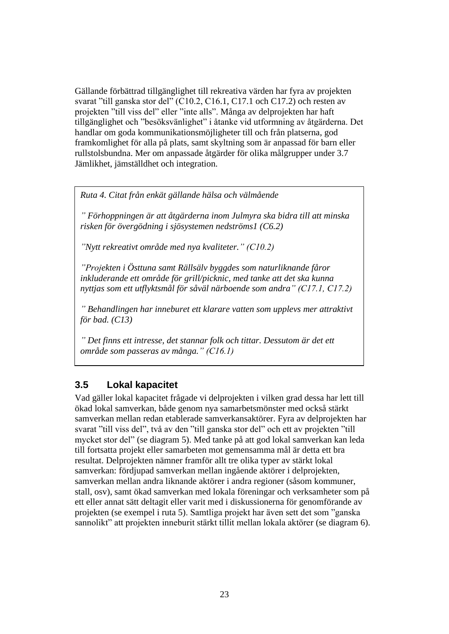Gällande förbättrad tillgänglighet till rekreativa värden har fyra av projekten svarat "till ganska stor del" (C10.2, C16.1, C17.1 och C17.2) och resten av projekten "till viss del" eller "inte alls". Många av delprojekten har haft tillgänglighet och "besöksvänlighet" i åtanke vid utformning av åtgärderna. Det handlar om goda kommunikationsmöjligheter till och från platserna, god framkomlighet för alla på plats, samt skyltning som är anpassad för barn eller rullstolsbundna. Mer om anpassade åtgärder för olika målgrupper under 3.7 Jämlikhet, jämställdhet och integration.

*Ruta 4. Citat från enkät gällande hälsa och välmående* 

*" Förhoppningen är att åtgärderna inom Julmyra ska bidra till att minska risken för övergödning i sjösystemen nedströms1 (C6.2)*

*"Nytt rekreativt område med nya kvaliteter." (C10.2)*

*"Projekten i Östtuna samt Rällsälv byggdes som naturliknande fåror inkluderande ett område för grill/picknic, med tanke att det ska kunna nyttjas som ett utflyktsmål för såväl närboende som andra" (C17.1, C17.2)*

*" Behandlingen har inneburet ett klarare vatten som upplevs mer attraktivt för bad. (C13)*

*" Det finns ett intresse, det stannar folk och tittar. Dessutom är det ett område som passeras av många." (C16.1)*

# <span id="page-24-0"></span>**3.5 Lokal kapacitet**

Vad gäller lokal kapacitet frågade vi delprojekten i vilken grad dessa har lett till ökad lokal samverkan, både genom nya samarbetsmönster med också stärkt samverkan mellan redan etablerade samverkansaktörer. Fyra av delprojekten har svarat "till viss del", två av den "till ganska stor del" och ett av projekten "till mycket stor del" (se diagram 5). Med tanke på att god lokal samverkan kan leda till fortsatta projekt eller samarbeten mot gemensamma mål är detta ett bra resultat. Delprojekten nämner framför allt tre olika typer av stärkt lokal samverkan: fördjupad samverkan mellan ingående aktörer i delprojekten, samverkan mellan andra liknande aktörer i andra regioner (såsom kommuner, stall, osv), samt ökad samverkan med lokala föreningar och verksamheter som på ett eller annat sätt deltagit eller varit med i diskussionerna för genomförande av projekten (se exempel i ruta 5). Samtliga projekt har även sett det som "ganska sannolikt" att projekten inneburit stärkt tillit mellan lokala aktörer (se diagram 6).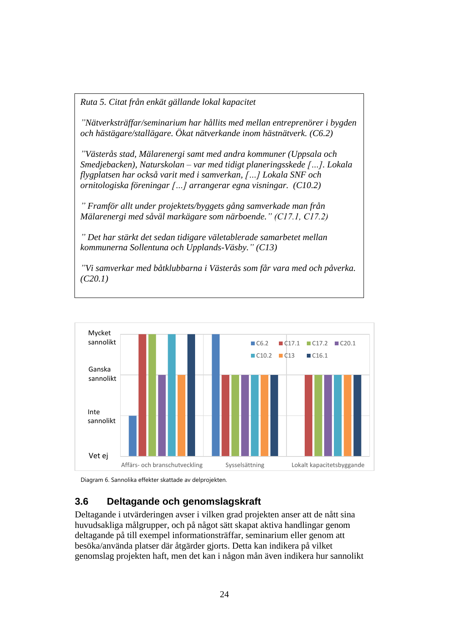*Ruta 5. Citat från enkät gällande lokal kapacitet* 

*"Nätverksträffar/seminarium har hållits med mellan entreprenörer i bygden och hästägare/stallägare. Ökat nätverkande inom hästnätverk. (C6.2)*

*"Västerås stad, Mälarenergi samt med andra kommuner (Uppsala och Smedjebacken), Naturskolan – var med tidigt planeringsskede […]. Lokala flygplatsen har också varit med i samverkan, […] Lokala SNF och ornitologiska föreningar […] arrangerar egna visningar. (C10.2)*

*" Framför allt under projektets/byggets gång samverkade man från Mälarenergi med såväl markägare som närboende." (C17.1, C17.2)*

*" Det har stärkt det sedan tidigare väletablerade samarbetet mellan kommunerna Sollentuna och Upplands-Väsby." (C13)*

*"Vi samverkar med båtklubbarna i Västerås som får vara med och påverka. (C20.1)*



Diagram 6. Sannolika effekter skattade av delprojekten.

# <span id="page-25-0"></span>**3.6 Deltagande och genomslagskraft**

Deltagande i utvärderingen avser i vilken grad projekten anser att de nått sina huvudsakliga målgrupper, och på något sätt skapat aktiva handlingar genom deltagande på till exempel informationsträffar, seminarium eller genom att besöka/använda platser där åtgärder gjorts. Detta kan indikera på vilket genomslag projekten haft, men det kan i någon mån även indikera hur sannolikt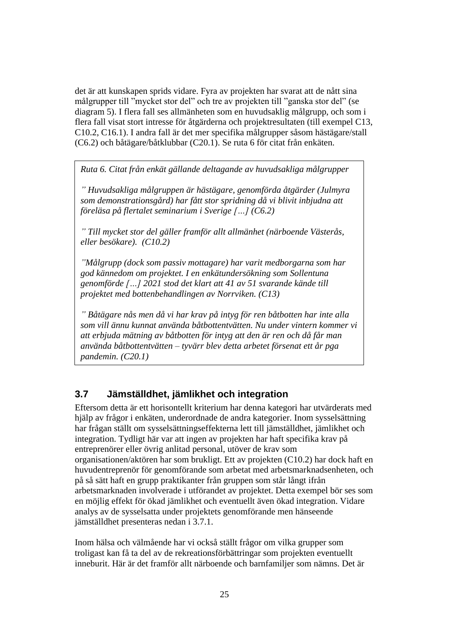det är att kunskapen sprids vidare. Fyra av projekten har svarat att de nått sina målgrupper till "mycket stor del" och tre av projekten till "ganska stor del" (se diagram 5). I flera fall ses allmänheten som en huvudsaklig målgrupp, och som i flera fall visat stort intresse för åtgärderna och projektresultaten (till exempel C13, C10.2, C16.1). I andra fall är det mer specifika målgrupper såsom hästägare/stall (C6.2) och båtägare/båtklubbar (C20.1). Se ruta 6 för citat från enkäten.

*Ruta 6. Citat från enkät gällande deltagande av huvudsakliga målgrupper* 

*" Huvudsakliga målgruppen är hästägare, genomförda åtgärder (Julmyra som demonstrationsgård) har fått stor spridning då vi blivit inbjudna att föreläsa på flertalet seminarium i Sverige […] (C6.2)*

*" Till mycket stor del gäller framför allt allmänhet (närboende Västerås, eller besökare). (C10.2)*

*"Målgrupp (dock som passiv mottagare) har varit medborgarna som har god kännedom om projektet. I en enkätundersökning som Sollentuna genomförde […] 2021 stod det klart att 41 av 51 svarande kände till projektet med bottenbehandlingen av Norrviken. (C13)*

*" Båtägare nås men då vi har krav på intyg för ren båtbotten har inte alla som vill ännu kunnat använda båtbottentvätten. Nu under vintern kommer vi att erbjuda mätning av båtbotten för intyg att den är ren och då får man använda båtbottentvätten – tyvärr blev detta arbetet försenat ett år pga pandemin. (C20.1)*

# <span id="page-26-0"></span>**3.7 Jämställdhet, jämlikhet och integration**

Eftersom detta är ett horisontellt kriterium har denna kategori har utvärderats med hjälp av frågor i enkäten, underordnade de andra kategorier. Inom sysselsättning har frågan ställt om sysselsättningseffekterna lett till jämställdhet, jämlikhet och integration. Tydligt här var att ingen av projekten har haft specifika krav på entreprenörer eller övrig anlitad personal, utöver de krav som organisationen/aktören har som brukligt. Ett av projekten (C10.2) har dock haft en huvudentreprenör för genomförande som arbetat med arbetsmarknadsenheten, och på så sätt haft en grupp praktikanter från gruppen som står långt ifrån arbetsmarknaden involverade i utförandet av projektet. Detta exempel bör ses som en möjlig effekt för ökad jämlikhet och eventuellt även ökad integration. Vidare analys av de sysselsatta under projektets genomförande men hänseende jämställdhet presenteras nedan i 3.7.1.

Inom hälsa och välmående har vi också ställt frågor om vilka grupper som troligast kan få ta del av de rekreationsförbättringar som projekten eventuellt inneburit. Här är det framför allt närboende och barnfamiljer som nämns. Det är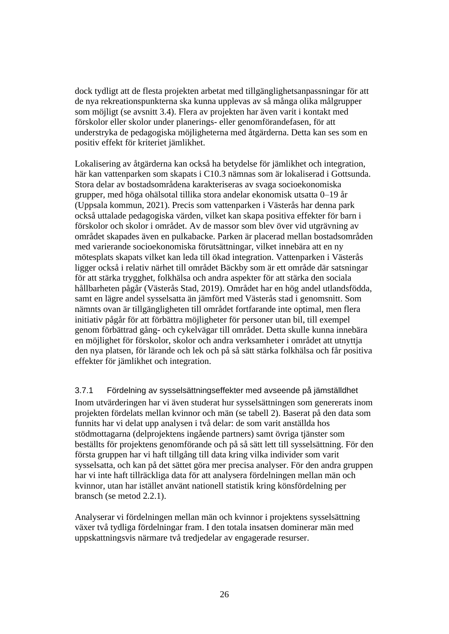dock tydligt att de flesta projekten arbetat med tillgänglighetsanpassningar för att de nya rekreationspunkterna ska kunna upplevas av så många olika målgrupper som möjligt (se avsnitt 3.4). Flera av projekten har även varit i kontakt med förskolor eller skolor under planerings- eller genomförandefasen, för att understryka de pedagogiska möjligheterna med åtgärderna. Detta kan ses som en positiv effekt för kriteriet jämlikhet.

Lokalisering av åtgärderna kan också ha betydelse för jämlikhet och integration, här kan vattenparken som skapats i C10.3 nämnas som är lokaliserad i Gottsunda. Stora delar av bostadsområdena karakteriseras av svaga socioekonomiska grupper, med höga ohälsotal tillika stora andelar ekonomisk utsatta 0–19 år (Uppsala kommun, 2021). Precis som vattenparken i Västerås har denna park också uttalade pedagogiska värden, vilket kan skapa positiva effekter för barn i förskolor och skolor i området. Av de massor som blev över vid utgrävning av området skapades även en pulkabacke. Parken är placerad mellan bostadsområden med varierande socioekonomiska förutsättningar, vilket innebära att en ny mötesplats skapats vilket kan leda till ökad integration. Vattenparken i Västerås ligger också i relativ närhet till området Bäckby som är ett område där satsningar för att stärka trygghet, folkhälsa och andra aspekter för att stärka den sociala hållbarheten pågår (Västerås Stad, 2019). Området har en hög andel utlandsfödda, samt en lägre andel sysselsatta än jämfört med Västerås stad i genomsnitt. Som nämnts ovan är tillgängligheten till området fortfarande inte optimal, men flera initiativ pågår för att förbättra möjligheter för personer utan bil, till exempel genom förbättrad gång- och cykelvägar till området. Detta skulle kunna innebära en möjlighet för förskolor, skolor och andra verksamheter i området att utnyttja den nya platsen, för lärande och lek och på så sätt stärka folkhälsa och får positiva effekter för jämlikhet och integration.

<span id="page-27-0"></span>3.7.1 Fördelning av sysselsättningseffekter med avseende på jämställdhet Inom utvärderingen har vi även studerat hur sysselsättningen som genererats inom projekten fördelats mellan kvinnor och män (se tabell 2). Baserat på den data som funnits har vi delat upp analysen i två delar: de som varit anställda hos stödmottagarna (delprojektens ingående partners) samt övriga tjänster som beställts för projektens genomförande och på så sätt lett till sysselsättning. För den första gruppen har vi haft tillgång till data kring vilka individer som varit sysselsatta, och kan på det sättet göra mer precisa analyser. För den andra gruppen har vi inte haft tillräckliga data för att analysera fördelningen mellan män och kvinnor, utan har istället använt nationell statistik kring könsfördelning per bransch (se metod 2.2.1).

Analyserar vi fördelningen mellan män och kvinnor i projektens sysselsättning växer två tydliga fördelningar fram. I den totala insatsen dominerar män med uppskattningsvis närmare två tredjedelar av engagerade resurser.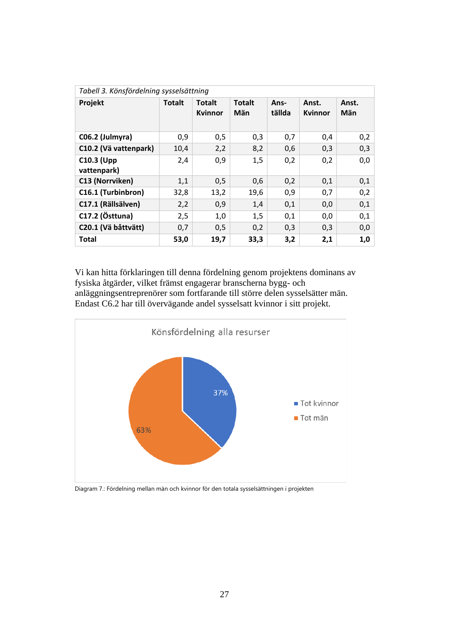| Tabell 3. Könsfördelning sysselsättning |               |                                 |                      |                |                  |              |
|-----------------------------------------|---------------|---------------------------------|----------------------|----------------|------------------|--------------|
| Projekt                                 | <b>Totalt</b> | <b>Totalt</b><br><b>Kvinnor</b> | <b>Totalt</b><br>Män | Ans-<br>tällda | Anst.<br>Kvinnor | Anst.<br>Män |
| C06.2 (Julmyra)                         | 0,9           | 0,5                             | 0,3                  | 0,7            | 0,4              | 0,2          |
| C10.2 (Vä vattenpark)                   | 10,4          | 2,2                             | 8,2                  | 0,6            | 0,3              | 0,3          |
| <b>C10.3 (Upp</b><br>vattenpark)        | 2,4           | 0,9                             | 1,5                  | 0,2            | 0,2              | 0,0          |
| C13 (Norrviken)                         | 1,1           | 0,5                             | 0,6                  | 0,2            | 0,1              | 0,1          |
| C16.1 (Turbinbron)                      | 32,8          | 13,2                            | 19,6                 | 0,9            | 0,7              | 0,2          |
| C17.1 (Rällsälven)                      | 2,2           | 0,9                             | 1,4                  | 0,1            | 0,0              | 0,1          |
| C17.2 (Östtuna)                         | 2,5           | 1,0                             | 1,5                  | 0,1            | 0,0              | 0,1          |
| C20.1 (Vä båttvätt)                     | 0,7           | 0,5                             | 0,2                  | 0,3            | 0,3              | 0,0          |
| <b>Total</b>                            | 53,0          | 19,7                            | 33,3                 | 3,2            | 2,1              | 1,0          |

Vi kan hitta förklaringen till denna fördelning genom projektens dominans av fysiska åtgärder, vilket främst engagerar branscherna bygg- och anläggningsentreprenörer som fortfarande till större delen sysselsätter män. Endast C6.2 har till övervägande andel sysselsatt kvinnor i sitt projekt.



Diagram 7.: Fördelning mellan män och kvinnor för den totala sysselsättningen i projekten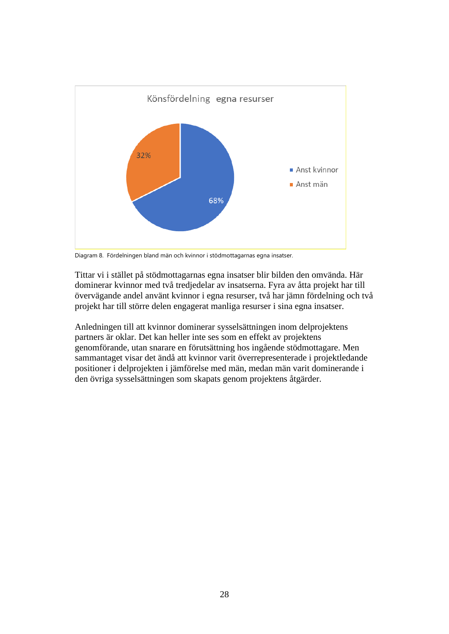

Diagram 8. Fördelningen bland män och kvinnor i stödmottagarnas egna insatser.

Tittar vi i stället på stödmottagarnas egna insatser blir bilden den omvända. Här dominerar kvinnor med två tredjedelar av insatserna. Fyra av åtta projekt har till övervägande andel använt kvinnor i egna resurser, två har jämn fördelning och två projekt har till större delen engagerat manliga resurser i sina egna insatser.

Anledningen till att kvinnor dominerar sysselsättningen inom delprojektens partners är oklar. Det kan heller inte ses som en effekt av projektens genomförande, utan snarare en förutsättning hos ingående stödmottagare. Men sammantaget visar det ändå att kvinnor varit överrepresenterade i projektledande positioner i delprojekten i jämförelse med män, medan män varit dominerande i den övriga sysselsättningen som skapats genom projektens åtgärder.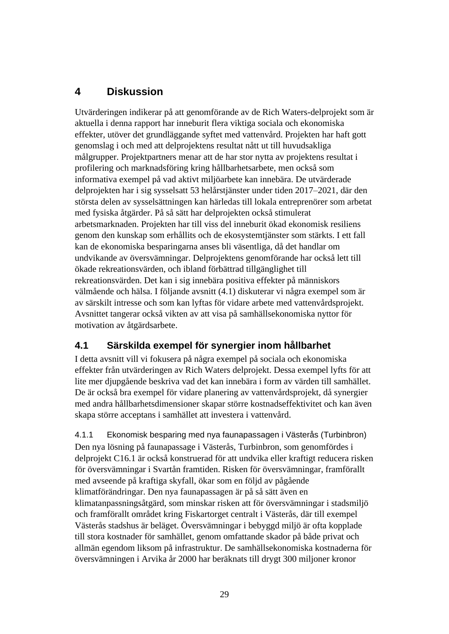# <span id="page-30-0"></span>**4 Diskussion**

Utvärderingen indikerar på att genomförande av de Rich Waters-delprojekt som är aktuella i denna rapport har inneburit flera viktiga sociala och ekonomiska effekter, utöver det grundläggande syftet med vattenvård. Projekten har haft gott genomslag i och med att delprojektens resultat nått ut till huvudsakliga målgrupper. Projektpartners menar att de har stor nytta av projektens resultat i profilering och marknadsföring kring hållbarhetsarbete, men också som informativa exempel på vad aktivt miljöarbete kan innebära. De utvärderade delprojekten har i sig sysselsatt 53 helårstjänster under tiden 2017–2021, där den största delen av sysselsättningen kan härledas till lokala entreprenörer som arbetat med fysiska åtgärder. På så sätt har delprojekten också stimulerat arbetsmarknaden. Projekten har till viss del inneburit ökad ekonomisk resiliens genom den kunskap som erhållits och de ekosystemtjänster som stärkts. I ett fall kan de ekonomiska besparingarna anses bli väsentliga, då det handlar om undvikande av översvämningar. Delprojektens genomförande har också lett till ökade rekreationsvärden, och ibland förbättrad tillgänglighet till rekreationsvärden. Det kan i sig innebära positiva effekter på människors välmående och hälsa. I följande avsnitt (4.1) diskuterar vi några exempel som är av särskilt intresse och som kan lyftas för vidare arbete med vattenvårdsprojekt. Avsnittet tangerar också vikten av att visa på samhällsekonomiska nyttor för motivation av åtgärdsarbete.

# <span id="page-30-1"></span>**4.1 Särskilda exempel för synergier inom hållbarhet**

I detta avsnitt vill vi fokusera på några exempel på sociala och ekonomiska effekter från utvärderingen av Rich Waters delprojekt. Dessa exempel lyfts för att lite mer djupgående beskriva vad det kan innebära i form av värden till samhället. De är också bra exempel för vidare planering av vattenvårdsprojekt, då synergier med andra hållbarhetsdimensioner skapar större kostnadseffektivitet och kan även skapa större acceptans i samhället att investera i vattenvård.

<span id="page-30-2"></span>4.1.1 Ekonomisk besparing med nya faunapassagen i Västerås (Turbinbron) Den nya lösning på faunapassage i Västerås, Turbinbron, som genomfördes i delprojekt C16.1 är också konstruerad för att undvika eller kraftigt reducera risken för översvämningar i Svartån framtiden. Risken för översvämningar, framförallt med avseende på kraftiga skyfall, ökar som en följd av pågående klimatförändringar. Den nya faunapassagen är på så sätt även en klimatanpassningsåtgärd, som minskar risken att för översvämningar i stadsmiljö och framförallt området kring Fiskartorget centralt i Västerås, där till exempel Västerås stadshus är beläget. Översvämningar i bebyggd miljö är ofta kopplade till stora kostnader för samhället, genom omfattande skador på både privat och allmän egendom liksom på infrastruktur. De samhällsekonomiska kostnaderna för översvämningen i Arvika år 2000 har beräknats till drygt 300 miljoner kronor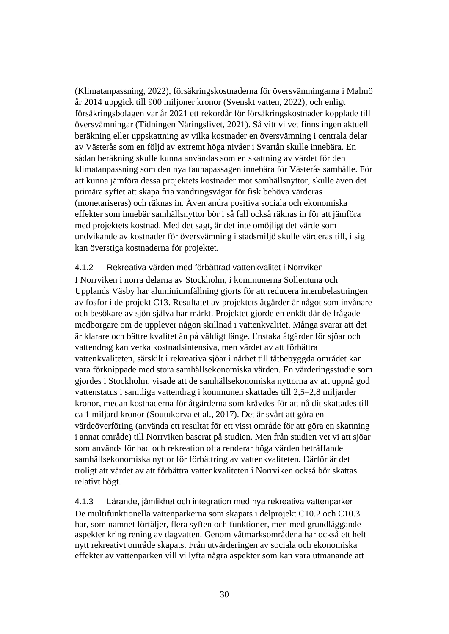(Klimatanpassning, 2022), försäkringskostnaderna för översvämningarna i Malmö år 2014 uppgick till 900 miljoner kronor (Svenskt vatten, 2022), och enligt försäkringsbolagen var år 2021 ett rekordår för försäkringskostnader kopplade till översvämningar (Tidningen Näringslivet, 2021). Så vitt vi vet finns ingen aktuell beräkning eller uppskattning av vilka kostnader en översvämning i centrala delar av Västerås som en följd av extremt höga nivåer i Svartån skulle innebära. En sådan beräkning skulle kunna användas som en skattning av värdet för den klimatanpassning som den nya faunapassagen innebära för Västerås samhälle. För att kunna jämföra dessa projektets kostnader mot samhällsnyttor, skulle även det primära syftet att skapa fria vandringsvägar för fisk behöva värderas (monetariseras) och räknas in. Även andra positiva sociala och ekonomiska effekter som innebär samhällsnyttor bör i så fall också räknas in för att jämföra med projektets kostnad. Med det sagt, är det inte omöjligt det värde som undvikande av kostnader för översvämning i stadsmiljö skulle värderas till, i sig kan överstiga kostnaderna för projektet.

#### <span id="page-31-0"></span>4.1.2 Rekreativa värden med förbättrad vattenkvalitet i Norrviken

I Norrviken i norra delarna av Stockholm, i kommunerna Sollentuna och Upplands Väsby har aluminiumfällning gjorts för att reducera internbelastningen av fosfor i delprojekt C13. Resultatet av projektets åtgärder är något som invånare och besökare av sjön själva har märkt. Projektet gjorde en enkät där de frågade medborgare om de upplever någon skillnad i vattenkvalitet. Många svarar att det är klarare och bättre kvalitet än på väldigt länge. Enstaka åtgärder för sjöar och vattendrag kan verka kostnadsintensiva, men värdet av att förbättra vattenkvaliteten, särskilt i rekreativa sjöar i närhet till tätbebyggda området kan vara förknippade med stora samhällsekonomiska värden. En värderingsstudie som gjordes i Stockholm, visade att de samhällsekonomiska nyttorna av att uppnå god vattenstatus i samtliga vattendrag i kommunen skattades till 2,5–2,8 miljarder kronor, medan kostnaderna för åtgärderna som krävdes för att nå dit skattades till ca 1 miljard kronor (Soutukorva et al., 2017). Det är svårt att göra en värdeöverföring (använda ett resultat för ett visst område för att göra en skattning i annat område) till Norrviken baserat på studien. Men från studien vet vi att sjöar som används för bad och rekreation ofta renderar höga värden beträffande samhällsekonomiska nyttor för förbättring av vattenkvaliteten. Därför är det troligt att värdet av att förbättra vattenkvaliteten i Norrviken också bör skattas relativt högt.

<span id="page-31-1"></span>4.1.3 Lärande, jämlikhet och integration med nya rekreativa vattenparker De multifunktionella vattenparkerna som skapats i delprojekt C10.2 och C10.3 har, som namnet förtäljer, flera syften och funktioner, men med grundläggande aspekter kring rening av dagvatten. Genom våtmarksområdena har också ett helt nytt rekreativt område skapats. Från utvärderingen av sociala och ekonomiska effekter av vattenparken vill vi lyfta några aspekter som kan vara utmanande att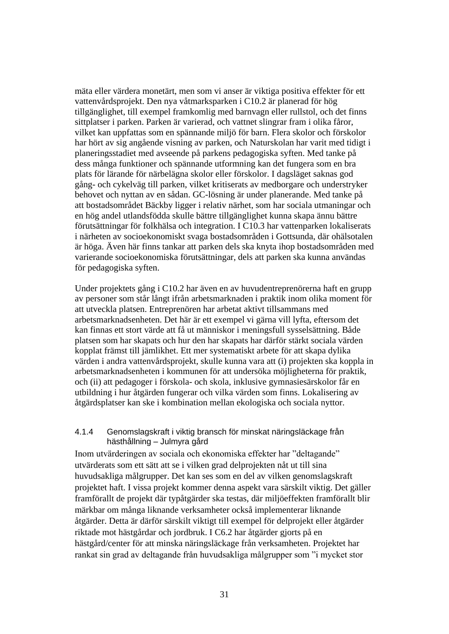mäta eller värdera monetärt, men som vi anser är viktiga positiva effekter för ett vattenvårdsprojekt. Den nya våtmarksparken i C10.2 är planerad för hög tillgänglighet, till exempel framkomlig med barnvagn eller rullstol, och det finns sittplatser i parken. Parken är varierad, och vattnet slingrar fram i olika fåror, vilket kan uppfattas som en spännande miljö för barn. Flera skolor och förskolor har hört av sig angående visning av parken, och Naturskolan har varit med tidigt i planeringsstadiet med avseende på parkens pedagogiska syften. Med tanke på dess många funktioner och spännande utformning kan det fungera som en bra plats för lärande för närbelägna skolor eller förskolor. I dagsläget saknas god gång- och cykelväg till parken, vilket kritiserats av medborgare och understryker behovet och nyttan av en sådan. GC-lösning är under planerande. Med tanke på att bostadsområdet Bäckby ligger i relativ närhet, som har sociala utmaningar och en hög andel utlandsfödda skulle bättre tillgänglighet kunna skapa ännu bättre förutsättningar för folkhälsa och integration. I C10.3 har vattenparken lokaliserats i närheten av socioekonomiskt svaga bostadsområden i Gottsunda, där ohälsotalen är höga. Även här finns tankar att parken dels ska knyta ihop bostadsområden med varierande socioekonomiska förutsättningar, dels att parken ska kunna användas för pedagogiska syften.

Under projektets gång i C10.2 har även en av huvudentreprenörerna haft en grupp av personer som står långt ifrån arbetsmarknaden i praktik inom olika moment för att utveckla platsen. Entreprenören har arbetat aktivt tillsammans med arbetsmarknadsenheten. Det här är ett exempel vi gärna vill lyfta, eftersom det kan finnas ett stort värde att få ut människor i meningsfull sysselsättning. Både platsen som har skapats och hur den har skapats har därför stärkt sociala värden kopplat främst till jämlikhet. Ett mer systematiskt arbete för att skapa dylika värden i andra vattenvårdsprojekt, skulle kunna vara att (i) projekten ska koppla in arbetsmarknadsenheten i kommunen för att undersöka möjligheterna för praktik, och (ii) att pedagoger i förskola- och skola, inklusive gymnasiesärskolor får en utbildning i hur åtgärden fungerar och vilka värden som finns. Lokalisering av åtgärdsplatser kan ske i kombination mellan ekologiska och sociala nyttor.

#### <span id="page-32-0"></span>4.1.4 Genomslagskraft i viktig bransch för minskat näringsläckage från hästhållning – Julmyra gård

Inom utvärderingen av sociala och ekonomiska effekter har "deltagande" utvärderats som ett sätt att se i vilken grad delprojekten nåt ut till sina huvudsakliga målgrupper. Det kan ses som en del av vilken genomslagskraft projektet haft. I vissa projekt kommer denna aspekt vara särskilt viktig. Det gäller framförallt de projekt där typåtgärder ska testas, där miljöeffekten framförallt blir märkbar om många liknande verksamheter också implementerar liknande åtgärder. Detta är därför särskilt viktigt till exempel för delprojekt eller åtgärder riktade mot hästgårdar och jordbruk. I C6.2 har åtgärder gjorts på en hästgård/center för att minska näringsläckage från verksamheten. Projektet har rankat sin grad av deltagande från huvudsakliga målgrupper som "i mycket stor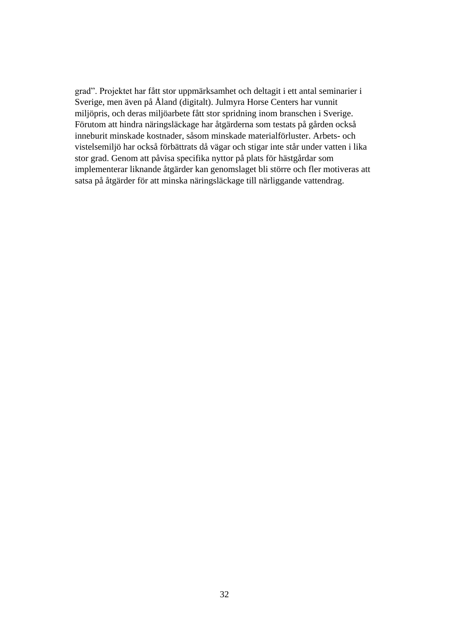grad". Projektet har fått stor uppmärksamhet och deltagit i ett antal seminarier i Sverige, men även på Åland (digitalt). Julmyra Horse Centers har vunnit miljöpris, och deras miljöarbete fått stor spridning inom branschen i Sverige. Förutom att hindra näringsläckage har åtgärderna som testats på gården också inneburit minskade kostnader, såsom minskade materialförluster. Arbets- och vistelsemiljö har också förbättrats då vägar och stigar inte står under vatten i lika stor grad. Genom att påvisa specifika nyttor på plats för hästgårdar som implementerar liknande åtgärder kan genomslaget bli större och fler motiveras att satsa på åtgärder för att minska näringsläckage till närliggande vattendrag.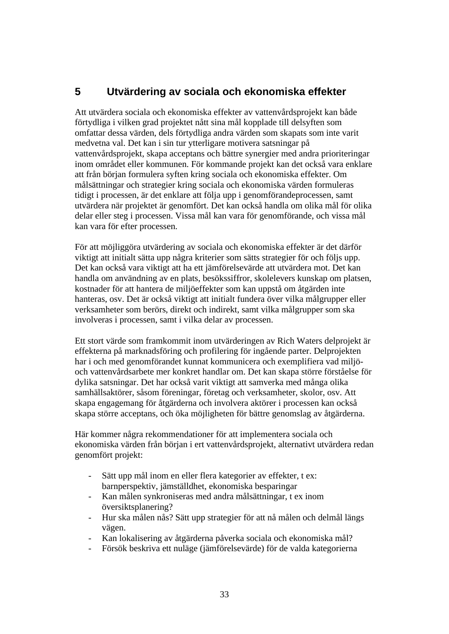# <span id="page-34-0"></span>**5 Utvärdering av sociala och ekonomiska effekter**

Att utvärdera sociala och ekonomiska effekter av vattenvårdsprojekt kan både förtydliga i vilken grad projektet nått sina mål kopplade till delsyften som omfattar dessa värden, dels förtydliga andra värden som skapats som inte varit medvetna val. Det kan i sin tur ytterligare motivera satsningar på vattenvårdsprojekt, skapa acceptans och bättre synergier med andra prioriteringar inom området eller kommunen. För kommande projekt kan det också vara enklare att från början formulera syften kring sociala och ekonomiska effekter. Om målsättningar och strategier kring sociala och ekonomiska värden formuleras tidigt i processen, är det enklare att följa upp i genomförandeprocessen, samt utvärdera när projektet är genomfört. Det kan också handla om olika mål för olika delar eller steg i processen. Vissa mål kan vara för genomförande, och vissa mål kan vara för efter processen.

För att möjliggöra utvärdering av sociala och ekonomiska effekter är det därför viktigt att initialt sätta upp några kriterier som sätts strategier för och följs upp. Det kan också vara viktigt att ha ett jämförelsevärde att utvärdera mot. Det kan handla om användning av en plats, besökssiffror, skolelevers kunskap om platsen, kostnader för att hantera de miljöeffekter som kan uppstå om åtgärden inte hanteras, osv. Det är också viktigt att initialt fundera över vilka målgrupper eller verksamheter som berörs, direkt och indirekt, samt vilka målgrupper som ska involveras i processen, samt i vilka delar av processen.

Ett stort värde som framkommit inom utvärderingen av Rich Waters delprojekt är effekterna på marknadsföring och profilering för ingående parter. Delprojekten har i och med genomförandet kunnat kommunicera och exemplifiera vad miljöoch vattenvårdsarbete mer konkret handlar om. Det kan skapa större förståelse för dylika satsningar. Det har också varit viktigt att samverka med många olika samhällsaktörer, såsom föreningar, företag och verksamheter, skolor, osv. Att skapa engagemang för åtgärderna och involvera aktörer i processen kan också skapa större acceptans, och öka möjligheten för bättre genomslag av åtgärderna.

Här kommer några rekommendationer för att implementera sociala och ekonomiska värden från början i ert vattenvårdsprojekt, alternativt utvärdera redan genomfört projekt:

- Sätt upp mål inom en eller flera kategorier av effekter, t ex: barnperspektiv, jämställdhet, ekonomiska besparingar
- Kan målen synkroniseras med andra målsättningar, t ex inom översiktsplanering?
- Hur ska målen nås? Sätt upp strategier för att nå målen och delmål längs vägen.
- Kan lokalisering av åtgärderna påverka sociala och ekonomiska mål?
- Försök beskriva ett nuläge (jämförelsevärde) för de valda kategorierna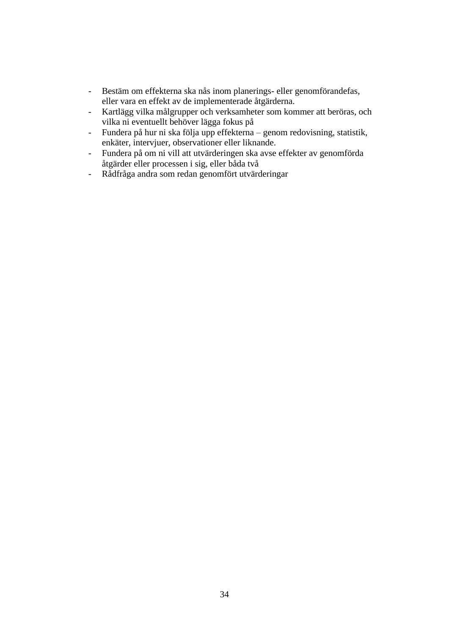- Bestäm om effekterna ska nås inom planerings- eller genomförandefas, eller vara en effekt av de implementerade åtgärderna.
- Kartlägg vilka målgrupper och verksamheter som kommer att beröras, och vilka ni eventuellt behöver lägga fokus på
- Fundera på hur ni ska följa upp effekterna genom redovisning, statistik, enkäter, intervjuer, observationer eller liknande.
- Fundera på om ni vill att utvärderingen ska avse effekter av genomförda åtgärder eller processen i sig, eller båda två
- Rådfråga andra som redan genomfört utvärderingar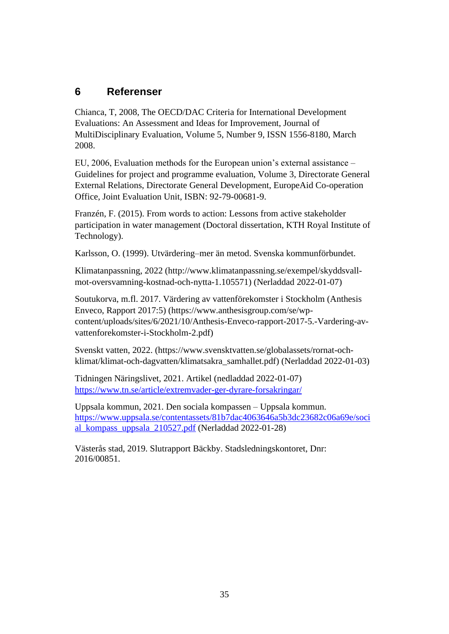# <span id="page-36-0"></span>**6 Referenser**

Chianca, T, 2008, The OECD/DAC Criteria for International Development Evaluations: An Assessment and Ideas for Improvement, Journal of MultiDisciplinary Evaluation, Volume 5, Number 9, ISSN 1556-8180, March 2008.

EU, 2006, Evaluation methods for the European union's external assistance – Guidelines for project and programme evaluation, Volume 3, Directorate General External Relations, Directorate General Development, EuropeAid Co-operation Office, Joint Evaluation Unit, ISBN: 92-79-00681-9.

Franzén, F. (2015). From words to action: Lessons from active stakeholder participation in water management (Doctoral dissertation, KTH Royal Institute of Technology).

Karlsson, O. (1999). Utvärdering–mer än metod. Svenska kommunförbundet.

Klimatanpassning, 2022 [\(http://www.klimatanpassning.se/exempel/skyddsvall](http://www.klimatanpassning.se/exempel/skyddsvall-mot-oversvamning-kostnad-och-nytta-1.105571)[mot-oversvamning-kostnad-och-nytta-1.105571\)](http://www.klimatanpassning.se/exempel/skyddsvall-mot-oversvamning-kostnad-och-nytta-1.105571) (Nerladdad 2022-01-07)

Soutukorva, m.fl. 2017. Värdering av vattenförekomster i Stockholm (Anthesis Enveco, Rapport 2017:5) [\(https://www.anthesisgroup.com/se/wp](https://www.anthesisgroup.com/se/wp-content/uploads/sites/6/2021/10/Anthesis-Enveco-rapport-2017-5.-Vardering-av-vattenforekomster-i-Stockholm-2.pdf)[content/uploads/sites/6/2021/10/Anthesis-Enveco-rapport-2017-5.-Vardering-av](https://www.anthesisgroup.com/se/wp-content/uploads/sites/6/2021/10/Anthesis-Enveco-rapport-2017-5.-Vardering-av-vattenforekomster-i-Stockholm-2.pdf)[vattenforekomster-i-Stockholm-2.pdf\)](https://www.anthesisgroup.com/se/wp-content/uploads/sites/6/2021/10/Anthesis-Enveco-rapport-2017-5.-Vardering-av-vattenforekomster-i-Stockholm-2.pdf)

Svenskt vatten, 2022. [\(https://www.svensktvatten.se/globalassets/rornat-och](https://www.svensktvatten.se/globalassets/rornat-och-klimat/klimat-och-dagvatten/klimatsakra_samhallet.pdf)[klimat/klimat-och-dagvatten/klimatsakra\\_samhallet.pdf\)](https://www.svensktvatten.se/globalassets/rornat-och-klimat/klimat-och-dagvatten/klimatsakra_samhallet.pdf) (Nerladdad 2022-01-03)

Tidningen Näringslivet, 2021. Artikel (nedladdad 2022-01-07) <https://www.tn.se/article/extremvader-ger-dyrare-forsakringar/>

Uppsala kommun, 2021. Den sociala kompassen – Uppsala kommun. [https://www.uppsala.se/contentassets/81b7dac4063646a5b3dc23682c06a69e/soci](https://www.uppsala.se/contentassets/81b7dac4063646a5b3dc23682c06a69e/social_kompass_uppsala_210527.pdf) [al\\_kompass\\_uppsala\\_210527.pdf](https://www.uppsala.se/contentassets/81b7dac4063646a5b3dc23682c06a69e/social_kompass_uppsala_210527.pdf) (Nerladdad 2022-01-28)

Västerås stad, 2019. Slutrapport Bäckby. Stadsledningskontoret, Dnr: 2016/00851.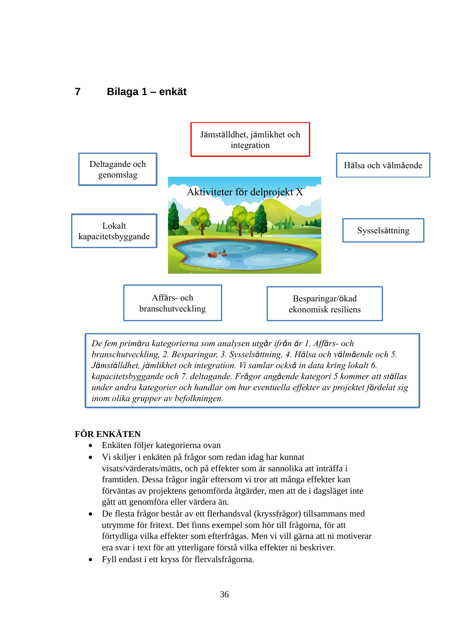# <span id="page-37-0"></span>**7 Bilaga 1 – enkät**



*De fem primära kategorierna som analysen utgår ifrån är 1. Affärs- och branschutveckling, 2. Besparingar, 3. Sysselsättning, 4. Hälsa och välmående och 5. Jämställdhet, jämlikhet och integration. Vi samlar också in data kring lokalt 6. kapacitetsbyggande och 7. deltagande. Frågor angående kategori 5 kommer att ställas under andra kategorier och handlar om hur eventuella effekter av projektet fördelat sig inom olika grupper av befolkningen.* 

### **FÖR ENKÄTEN**

- Enkäten följer kategorierna ovan
- Vi skiljer i enkäten på frågor som redan idag har kunnat visats/värderats/mätts, och på effekter som är sannolika att inträffa i framtiden. Dessa frågor ingår eftersom vi tror att många effekter kan förväntas av projektens genomförda åtgärder, men att de i dagsläget inte gått att genomföra eller värdera än.
- De flesta frågor består av ett flerhandsval (kryssfrågor) tillsammans med utrymme för fritext. Det finns exempel som hör till frågorna, för att förtydliga vilka effekter som efterfrågas. Men vi vill gärna att ni motiverar era svar i text för att ytterligare förstå vilka effekter ni beskriver.
- Fyll endast i ett kryss för flervalsfrågorna.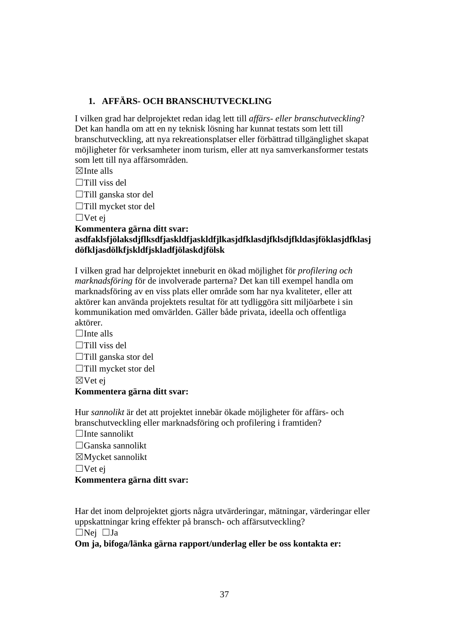### **1. AFFÄRS- OCH BRANSCHUTVECKLING**

I vilken grad har delprojektet redan idag lett till *affärs- eller branschutveckling*? Det kan handla om att en ny teknisk lösning har kunnat testats som lett till branschutveckling, att nya rekreationsplatser eller förbättrad tillgänglighet skapat möjligheter för verksamheter inom turism, eller att nya samverkansformer testats som lett till nya affärsområden.

 $\nabla$ Inte alls

 $\Box$ Till viss del

☐Till ganska stor del

☐Till mycket stor del

☐Vet ej

**Kommentera gärna ditt svar:** 

**asdfaklsfjölaksdjflksdfjaskldfjaskldfjlkasjdfklasdjfklsdjfkldasjföklasjdfklasj döfkljasdölkfjskldfjskladfjölaskdjfölsk**

I vilken grad har delprojektet inneburit en ökad möjlighet för *profilering och marknadsföring* för de involverade parterna? Det kan till exempel handla om marknadsföring av en viss plats eller område som har nya kvaliteter, eller att aktörer kan använda projektets resultat för att tydliggöra sitt miljöarbete i sin kommunikation med omvärlden. Gäller både privata, ideella och offentliga aktörer.

 $\Box$ Inte alls

 $\Box$ Till viss del

☐Till ganska stor del

☐Till mycket stor del

☒Vet ej

#### **Kommentera gärna ditt svar:**

Hur *sannolikt* är det att projektet innebär ökade möjligheter för affärs- och branschutveckling eller marknadsföring och profilering i framtiden?

 $\Box$ Inte sannolikt

☐Ganska sannolikt

☒Mycket sannolikt

☐Vet ej

#### **Kommentera gärna ditt svar:**

Har det inom delprojektet gjorts några utvärderingar, mätningar, värderingar eller uppskattningar kring effekter på bransch- och affärsutveckling?

☐Nej ☐Ja

**Om ja, bifoga/länka gärna rapport/underlag eller be oss kontakta er:**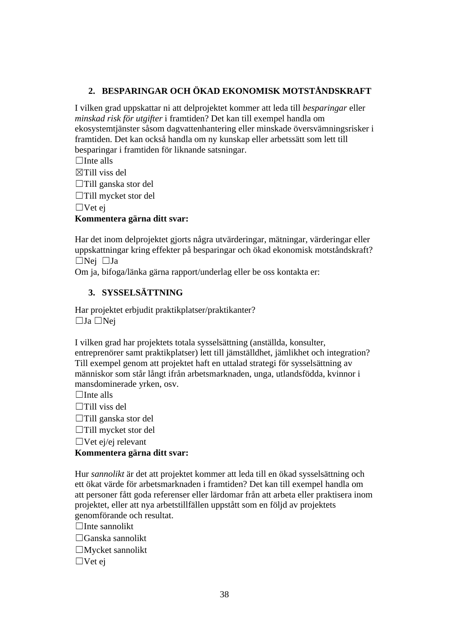### **2. BESPARINGAR OCH ÖKAD EKONOMISK MOTSTÅNDSKRAFT**

I vilken grad uppskattar ni att delprojektet kommer att leda till *besparingar* eller *minskad risk för utgifter* i framtiden? Det kan till exempel handla om ekosystemtjänster såsom dagvattenhantering eller minskade översvämningsrisker i framtiden. Det kan också handla om ny kunskap eller arbetssätt som lett till besparingar i framtiden för liknande satsningar.

 $\Box$ Inte alls

☒Till viss del

☐Till ganska stor del

☐Till mycket stor del

☐Vet ej

#### **Kommentera gärna ditt svar:**

Har det inom delprojektet gjorts några utvärderingar, mätningar, värderingar eller uppskattningar kring effekter på besparingar och ökad ekonomisk motståndskraft? ☐Nej ☐Ja

Om ja, bifoga/länka gärna rapport/underlag eller be oss kontakta er:

### **3. SYSSELSÄTTNING**

Har projektet erbjudit praktikplatser/praktikanter? ☐Ja ☐Nej

I vilken grad har projektets totala sysselsättning (anställda, konsulter, entreprenörer samt praktikplatser) lett till jämställdhet, jämlikhet och integration? Till exempel genom att projektet haft en uttalad strategi för sysselsättning av människor som står långt ifrån arbetsmarknaden, unga, utlandsfödda, kvinnor i mansdominerade yrken, osv.

 $\Box$ Inte alls

 $\Box$ Till viss del

☐Till ganska stor del

☐Till mycket stor del

 $\Box$ Vet ej/ej relevant

### **Kommentera gärna ditt svar:**

Hur *sannolikt* är det att projektet kommer att leda till en ökad sysselsättning och ett ökat värde för arbetsmarknaden i framtiden? Det kan till exempel handla om att personer fått goda referenser eller lärdomar från att arbeta eller praktisera inom projektet, eller att nya arbetstillfällen uppstått som en följd av projektets genomförande och resultat.

 $\Box$ Inte sannolikt

☐Ganska sannolikt

☐Mycket sannolikt

 $\Box$ Vet ej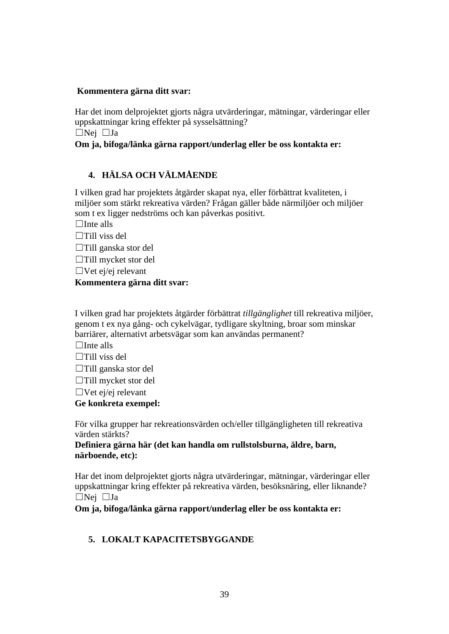#### **Kommentera gärna ditt svar:**

Har det inom delprojektet gjorts några utvärderingar, mätningar, värderingar eller uppskattningar kring effekter på sysselsättning?

☐Nej ☐Ja

#### **Om ja, bifoga/länka gärna rapport/underlag eller be oss kontakta er:**

#### **4. HÄLSA OCH VÄLMÅENDE**

I vilken grad har projektets åtgärder skapat nya, eller förbättrat kvaliteten, i miljöer som stärkt rekreativa värden? Frågan gäller både närmiljöer och miljöer som t ex ligger nedströms och kan påverkas positivt.

 $\Box$ Inte alls

 $\Box$ Till viss del

☐Till ganska stor del

☐Till mycket stor del

 $\Box$ Vet ej/ej relevant

#### **Kommentera gärna ditt svar:**

I vilken grad har projektets åtgärder förbättrat *tillgänglighet* till rekreativa miljöer, genom t ex nya gång- och cykelvägar, tydligare skyltning, broar som minskar barriärer, alternativt arbetsvägar som kan användas permanent?

 $\Box$ Inte alls

- $\Box$ Till viss del
- ☐Till ganska stor del

☐Till mycket stor del

 $\Box$ Vet ej/ej relevant

#### **Ge konkreta exempel:**

För vilka grupper har rekreationsvärden och/eller tillgängligheten till rekreativa värden stärkts?

**Definiera gärna här (det kan handla om rullstolsburna, äldre, barn, närboende, etc):** 

Har det inom delprojektet gjorts några utvärderingar, mätningar, värderingar eller uppskattningar kring effekter på rekreativa värden, besöksnäring, eller liknande? ☐Nej ☐Ja

**Om ja, bifoga/länka gärna rapport/underlag eller be oss kontakta er:** 

#### **5. LOKALT KAPACITETSBYGGANDE**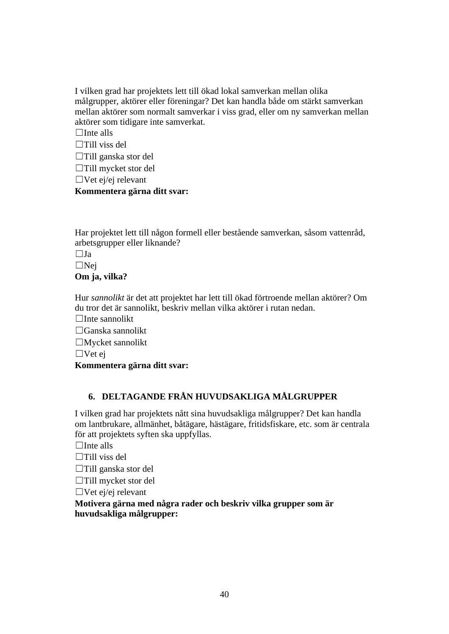I vilken grad har projektets lett till ökad lokal samverkan mellan olika målgrupper, aktörer eller föreningar? Det kan handla både om stärkt samverkan mellan aktörer som normalt samverkar i viss grad, eller om ny samverkan mellan aktörer som tidigare inte samverkat.

 $\Box$ Inte alls

☐Till viss del

☐Till ganska stor del

☐Till mycket stor del

 $\Box$ Vet ej/ej relevant

#### **Kommentera gärna ditt svar:**

Har projektet lett till någon formell eller bestående samverkan, såsom vattenråd, arbetsgrupper eller liknande?

 $\Box$ Ja

 $\square$ Nej

**Om ja, vilka?**

Hur *sannolikt* är det att projektet har lett till ökad förtroende mellan aktörer? Om du tror det är sannolikt, beskriv mellan vilka aktörer i rutan nedan.

☐Inte sannolikt

 $\Box$ Ganska sannolikt

☐Mycket sannolikt

 $\Box$  Vet ej

**Kommentera gärna ditt svar:** 

# **6. DELTAGANDE FRÅN HUVUDSAKLIGA MÅLGRUPPER**

I vilken grad har projektets nått sina huvudsakliga målgrupper? Det kan handla om lantbrukare, allmänhet, båtägare, hästägare, fritidsfiskare, etc. som är centrala för att projektets syften ska uppfyllas.

 $\Box$ Inte alls

- $\Box$ Till viss del
- ☐Till ganska stor del

☐Till mycket stor del

☐Vet ej/ej relevant

**Motivera gärna med några rader och beskriv vilka grupper som är huvudsakliga målgrupper:**